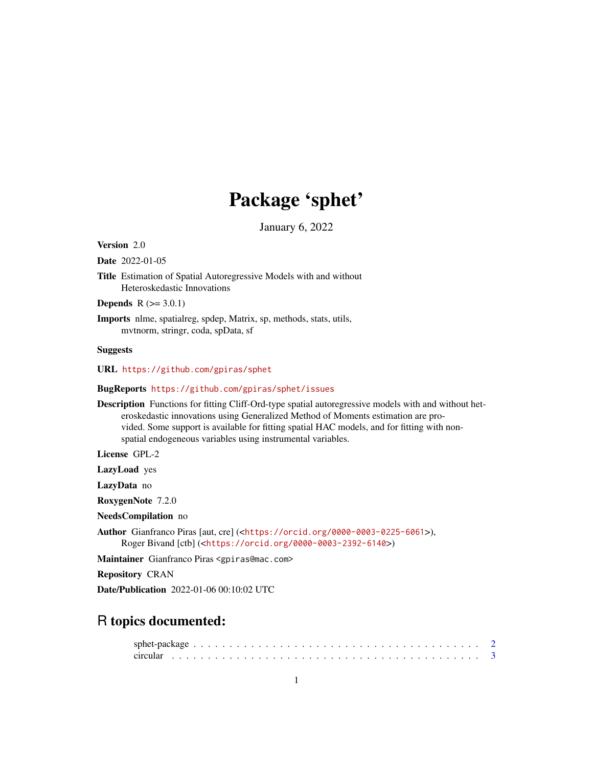# Package 'sphet'

January 6, 2022

<span id="page-0-0"></span>Version 2.0

Date 2022-01-05

Title Estimation of Spatial Autoregressive Models with and without Heteroskedastic Innovations

**Depends**  $R$  ( $>= 3.0.1$ )

Imports nlme, spatialreg, spdep, Matrix, sp, methods, stats, utils, mvtnorm, stringr, coda, spData, sf

# Suggests

URL <https://github.com/gpiras/sphet>

BugReports <https://github.com/gpiras/sphet/issues>

Description Functions for fitting Cliff-Ord-type spatial autoregressive models with and without heteroskedastic innovations using Generalized Method of Moments estimation are provided. Some support is available for fitting spatial HAC models, and for fitting with nonspatial endogeneous variables using instrumental variables.

License GPL-2

LazyLoad yes

LazyData no

RoxygenNote 7.2.0

NeedsCompilation no

Author Gianfranco Piras [aut, cre] (<<https://orcid.org/0000-0003-0225-6061>>), Roger Bivand [ctb] (<<https://orcid.org/0000-0003-2392-6140>>)

Maintainer Gianfranco Piras <gpiras@mac.com>

Repository CRAN

Date/Publication 2022-01-06 00:10:02 UTC

# R topics documented: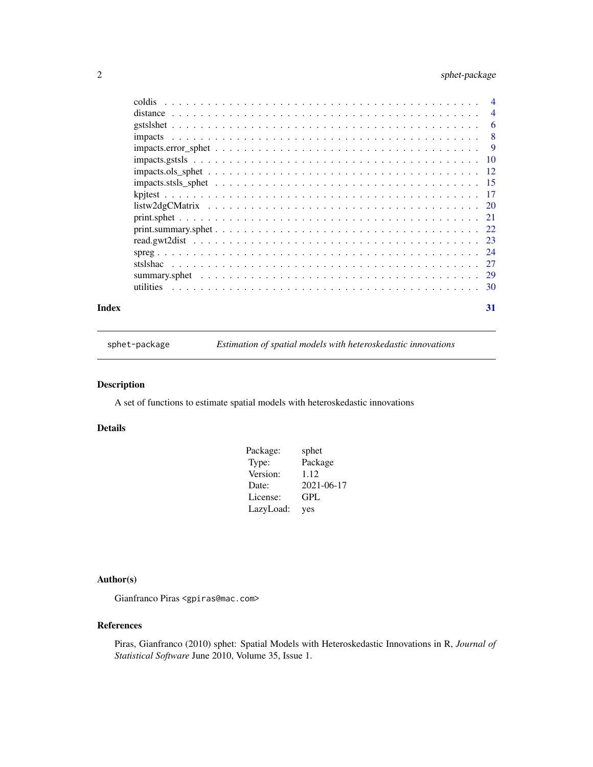# <span id="page-1-0"></span>2 sphet-package

|       | $impacts.gstsls \t \t \t \t \t \t \t \t \t \t$ |    |
|-------|------------------------------------------------|----|
|       |                                                |    |
|       |                                                |    |
|       |                                                |    |
|       |                                                |    |
|       |                                                |    |
|       |                                                |    |
|       |                                                |    |
|       |                                                |    |
|       |                                                |    |
|       |                                                |    |
|       |                                                |    |
| Index |                                                | 31 |

sphet-package *Estimation of spatial models with heteroskedastic innovations*

# Description

A set of functions to estimate spatial models with heteroskedastic innovations

# Details

| Package:  | sphet      |
|-----------|------------|
| Type:     | Package    |
| Version:  | 1.12       |
| Date:     | 2021-06-17 |
| License:  | GPL        |
| LazyLoad: | yes        |

# Author(s)

Gianfranco Piras <gpiras@mac.com>

#### References

Piras, Gianfranco (2010) sphet: Spatial Models with Heteroskedastic Innovations in R, *Journal of Statistical Software* June 2010, Volume 35, Issue 1.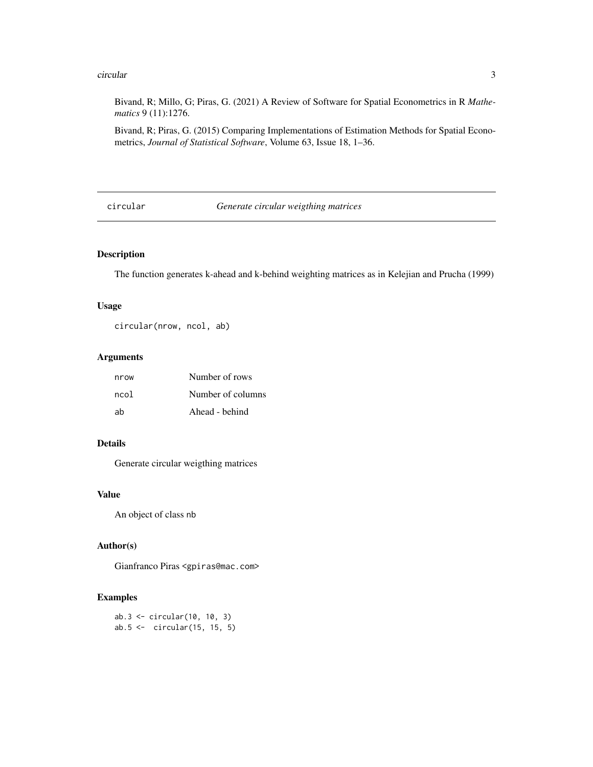#### <span id="page-2-0"></span>circular 3

Bivand, R; Millo, G; Piras, G. (2021) A Review of Software for Spatial Econometrics in R *Mathematics* 9 (11):1276.

Bivand, R; Piras, G. (2015) Comparing Implementations of Estimation Methods for Spatial Econometrics, *Journal of Statistical Software*, Volume 63, Issue 18, 1–36.

circular *Generate circular weigthing matrices*

# Description

The function generates k-ahead and k-behind weighting matrices as in Kelejian and Prucha (1999)

# Usage

circular(nrow, ncol, ab)

# Arguments

| nrow | Number of rows    |
|------|-------------------|
| ncol | Number of columns |
| ah   | Ahead - behind    |

# Details

Generate circular weigthing matrices

# Value

An object of class nb

# Author(s)

Gianfranco Piras <gpiras@mac.com>

```
ab.3 <- circular(10, 10, 3)
ab.5 <- circular(15, 15, 5)
```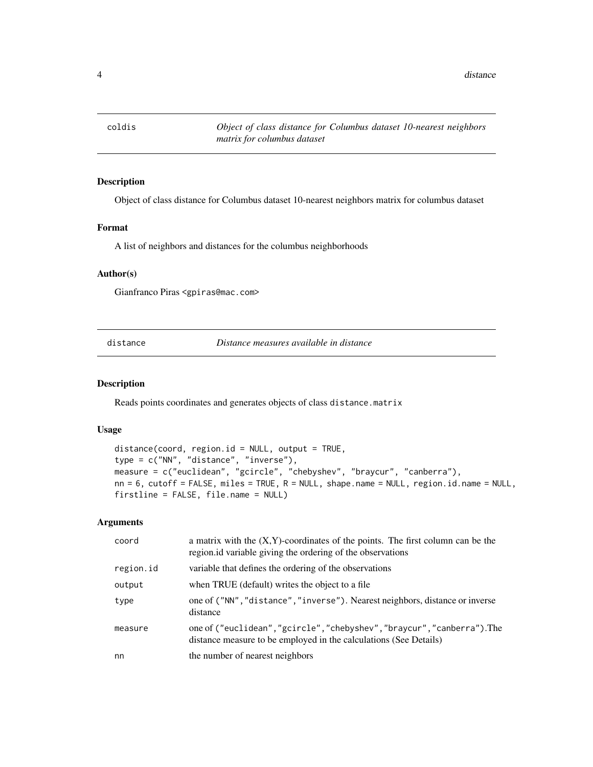<span id="page-3-0"></span>

# Description

Object of class distance for Columbus dataset 10-nearest neighbors matrix for columbus dataset

#### Format

A list of neighbors and distances for the columbus neighborhoods

#### Author(s)

Gianfranco Piras <gpiras@mac.com>

<span id="page-3-1"></span>distance *Distance measures available in distance*

# Description

Reads points coordinates and generates objects of class distance.matrix

#### Usage

```
distance(coord, region.id = NULL, output = TRUE,
type = c("NN", "distance", "inverse"),
measure = c("euclidean", "gcircle", "chebyshev", "braycur", "canberra"),
nn = 6, cutoff = FALSE, miles = TRUE, R = NULL, shape.name = NULL, region.id.name = NULL,firstline = FALSE, file.name = NULL)
```

| coord     | a matrix with the $(X, Y)$ -coordinates of the points. The first column can be the<br>region id variable giving the ordering of the observations |
|-----------|--------------------------------------------------------------------------------------------------------------------------------------------------|
| region.id | variable that defines the ordering of the observations                                                                                           |
| output    | when TRUE (default) writes the object to a file                                                                                                  |
| type      | one of ("NN", "distance", "inverse"). Nearest neighbors, distance or inverse<br>distance                                                         |
| measure   | one of ("euclidean","gcircle","chebyshev","braycur","canberra"). The<br>distance measure to be employed in the calculations (See Details)        |
| nn        | the number of nearest neighbors                                                                                                                  |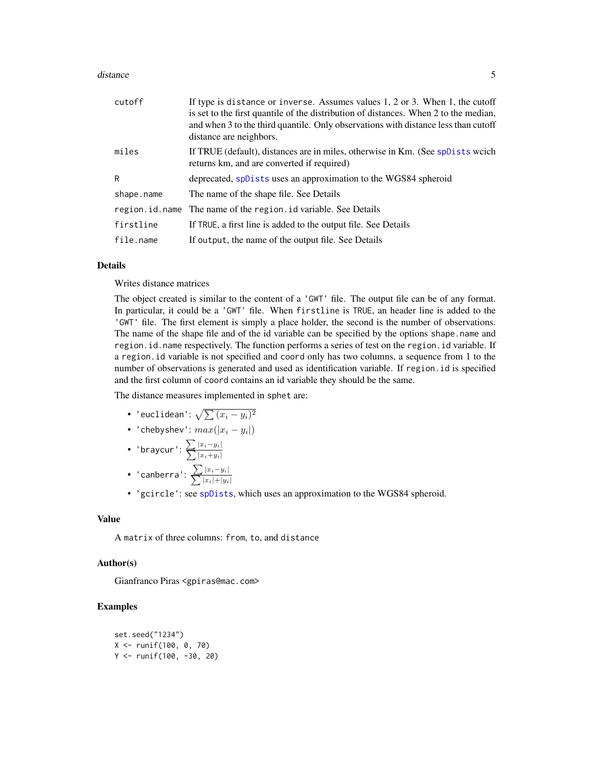#### <span id="page-4-0"></span>distance 5 and 5 and 5 and 5 and 5 and 5 and 6 and 6 and 6 and 6 and 6 and 6 and 6 and 6 and 6 and 6 and 6 and 6 and 6 and 6 and 6 and 6 and 6 and 6 and 6 and 6 and 6 and 6 and 6 and 6 and 6 and 6 and 6 and 6 and 6 and 6 a

| cutoff     | If type is distance or inverse. Assumes values $1, 2$ or $3$ . When $1$ , the cutoff<br>is set to the first quantile of the distribution of distances. When 2 to the median,<br>and when 3 to the third quantile. Only observations with distance less than cutoff<br>distance are neighbors. |
|------------|-----------------------------------------------------------------------------------------------------------------------------------------------------------------------------------------------------------------------------------------------------------------------------------------------|
| miles      | If TRUE (default), distances are in miles, otherwise in Km. (See spDists words)<br>returns km, and are converted if required)                                                                                                                                                                 |
| R          | deprecated, spDists uses an approximation to the WGS84 spheroid                                                                                                                                                                                                                               |
| shape.name | The name of the shape file. See Details                                                                                                                                                                                                                                                       |
|            | region.id.name The name of the region.id variable. See Details                                                                                                                                                                                                                                |
| firstline  | If TRUE, a first line is added to the output file. See Details                                                                                                                                                                                                                                |
| file.name  | If output, the name of the output file. See Details                                                                                                                                                                                                                                           |

#### Details

Writes distance matrices

The object created is similar to the content of a 'GWT' file. The output file can be of any format. In particular, it could be a 'GWT' file. When firstline is TRUE, an header line is added to the 'GWT' file. The first element is simply a place holder, the second is the number of observations. The name of the shape file and of the id variable can be specified by the options shape.name and region.id.name respectively. The function performs a series of test on the region.id variable. If a region.id variable is not specified and coord only has two columns, a sequence from 1 to the number of observations is generated and used as identification variable. If region.id is specified and the first column of coord contains an id variable they should be the same.

The distance measures implemented in sphet are:

- 'euclidean':  $\sqrt{\sum{(x_i-y_i)^2}}$
- 'chebyshev':  $max(|x_i y_i|)$
- 'braycur':  $\sum_{i=1}^{\infty}$  $\sum$  $|x_i-y_i|$  $|x_i+ y_i|$
- 'canberra':  $\sum_{n=1}^{\infty}$  $\sum$  $|x_i-y_i|$  $|x_i|+|y_i|$
- 'gcircle': see [spDists](#page-0-0), which uses an approximation to the WGS84 spheroid.

#### Value

A matrix of three columns: from, to, and distance

#### Author(s)

Gianfranco Piras <gpiras@mac.com>

```
set.seed("1234")
X <- runif(100, 0, 70)
Y <- runif(100, -30, 20)
```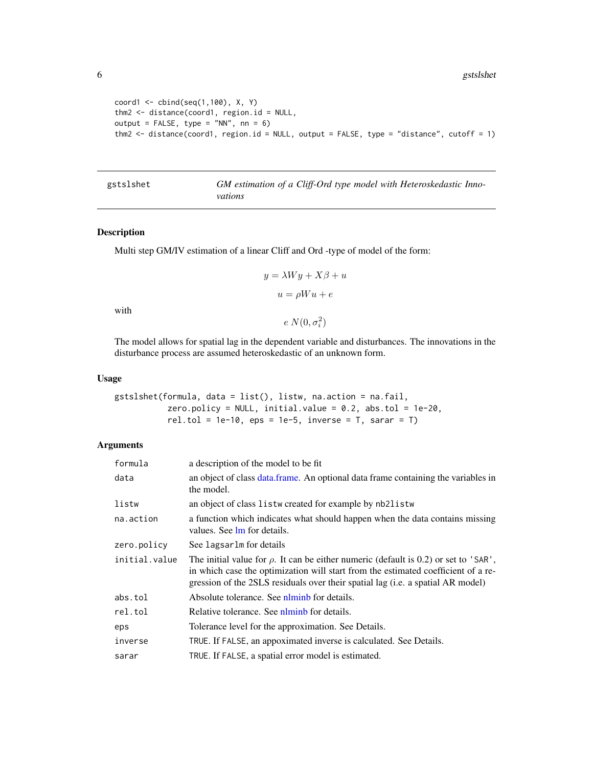6 gstslshet i 1999 ble større en som stort i 1999 ble større en som større en som større en som større en som

```
coord1 \leq - \text{cbind}(\text{seq}(1,100), X, Y)thm2 <- distance(coord1, region.id = NULL,
output = FALSE, type = "NN", nn = 6)thm2 <- distance(coord1, region.id = NULL, output = FALSE, type = "distance", cutoff = 1)
```
<span id="page-5-1"></span>

| gstslshet | GM estimation of a Cliff-Ord type model with Heteroskedastic Inno- |
|-----------|--------------------------------------------------------------------|
|           | vations                                                            |

#### Description

Multi step GM/IV estimation of a linear Cliff and Ord -type of model of the form:

$$
y = \lambda Wy + X\beta + u
$$

$$
u = \rho Wu + e
$$

with

The model allows for spatial lag in the dependent variable and disturbances. The innovations in the disturbance process are assumed heteroskedastic of an unknown form.

 $e N(0, \sigma_i^2)$ 

#### Usage

```
gstslshet(formula, data = list(), listw, na.action = na.fail,
           zero.policy = NULL, initial.value = 0.2, abs.tol = 1e-20,
           rel.tol = 1e-10, eps = 1e-5, inverse = T, sarar = T)
```

| formula       | a description of the model to be fit                                                                                                                                                                                                                              |
|---------------|-------------------------------------------------------------------------------------------------------------------------------------------------------------------------------------------------------------------------------------------------------------------|
| data          | an object of class data frame. An optional data frame containing the variables in<br>the model.                                                                                                                                                                   |
| listw         | an object of class listw created for example by nb2listw                                                                                                                                                                                                          |
| na.action     | a function which indicates what should happen when the data contains missing<br>values. See lm for details.                                                                                                                                                       |
| zero.policy   | See lagsarlm for details                                                                                                                                                                                                                                          |
| initial.value | The initial value for $\rho$ . It can be either numeric (default is 0.2) or set to 'SAR',<br>in which case the optimization will start from the estimated coefficient of a re-<br>gression of the 2SLS residuals over their spatial lag (i.e. a spatial AR model) |
| abs.tol       | Absolute tolerance. See niminb for details.                                                                                                                                                                                                                       |
| rel.tol       | Relative tolerance. See nlminb for details.                                                                                                                                                                                                                       |
| eps           | Tolerance level for the approximation. See Details.                                                                                                                                                                                                               |
| inverse       | TRUE. If FALSE, an appoximated inverse is calculated. See Details.                                                                                                                                                                                                |
| sarar         | TRUE. If FALSE, a spatial error model is estimated.                                                                                                                                                                                                               |

<span id="page-5-0"></span>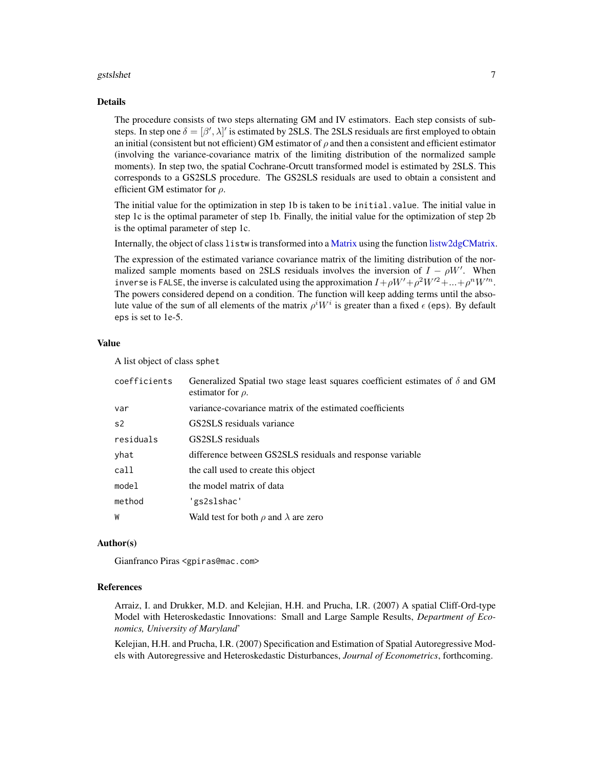#### <span id="page-6-0"></span>gstslshet 7 august 1986 van die 19de eeu n.C. In die 19de eeu n.C. In die 19de eeu n.C. 19de eeu n.C. 19de eeu

#### Details

The procedure consists of two steps alternating GM and IV estimators. Each step consists of substeps. In step one  $\delta = [\beta', \lambda]'$  is estimated by 2SLS. The 2SLS residuals are first employed to obtain an initial (consistent but not efficient) GM estimator of  $\rho$  and then a consistent and efficient estimator (involving the variance-covariance matrix of the limiting distribution of the normalized sample moments). In step two, the spatial Cochrane-Orcutt transformed model is estimated by 2SLS. This corresponds to a GS2SLS procedure. The GS2SLS residuals are used to obtain a consistent and efficient GM estimator for  $\rho$ .

The initial value for the optimization in step 1b is taken to be initial.value. The initial value in step 1c is the optimal parameter of step 1b. Finally, the initial value for the optimization of step 2b is the optimal parameter of step 1c.

Internally, the object of class listw is transformed into a [Matrix](#page-0-0) using the function [listw2dgCMatrix.](#page-19-1)

The expression of the estimated variance covariance matrix of the limiting distribution of the normalized sample moments based on 2SLS residuals involves the inversion of  $I - \rho W'$ . When inverse is FALSE, the inverse is calculated using the approximation  $I + \rho W' + \rho^2 W'^2 + ... + \rho^n W'^n$ . The powers considered depend on a condition. The function will keep adding terms until the absolute value of the sum of all elements of the matrix  $\rho^i W^i$  is greater than a fixed  $\epsilon$  (eps). By default eps is set to 1e-5.

#### Value

A list object of class sphet

| coefficients   | Generalized Spatial two stage least squares coefficient estimates of $\delta$ and GM<br>estimator for $\rho$ . |
|----------------|----------------------------------------------------------------------------------------------------------------|
| var            | variance-covariance matrix of the estimated coefficients                                                       |
| s <sub>2</sub> | GS2SLS residuals variance                                                                                      |
| residuals      | GS2SLS residuals                                                                                               |
| yhat           | difference between GS2SLS residuals and response variable                                                      |
| call           | the call used to create this object                                                                            |
| model          | the model matrix of data                                                                                       |
| method         | 'gs2slshac'                                                                                                    |
| W              | Wald test for both $\rho$ and $\lambda$ are zero                                                               |

#### Author(s)

Gianfranco Piras <gpiras@mac.com>

#### References

Arraiz, I. and Drukker, M.D. and Kelejian, H.H. and Prucha, I.R. (2007) A spatial Cliff-Ord-type Model with Heteroskedastic Innovations: Small and Large Sample Results, *Department of Economics, University of Maryland*'

Kelejian, H.H. and Prucha, I.R. (2007) Specification and Estimation of Spatial Autoregressive Models with Autoregressive and Heteroskedastic Disturbances, *Journal of Econometrics*, forthcoming.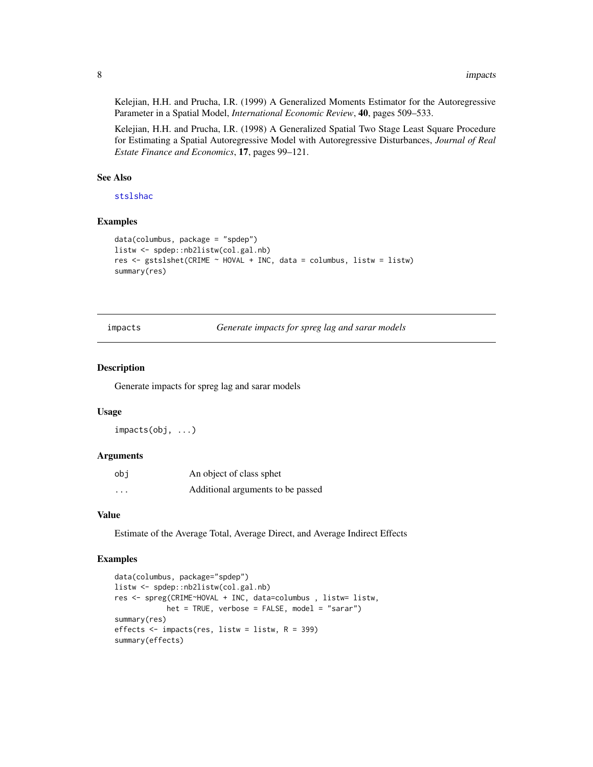Kelejian, H.H. and Prucha, I.R. (1999) A Generalized Moments Estimator for the Autoregressive Parameter in a Spatial Model, *International Economic Review*, 40, pages 509–533.

Kelejian, H.H. and Prucha, I.R. (1998) A Generalized Spatial Two Stage Least Square Procedure for Estimating a Spatial Autoregressive Model with Autoregressive Disturbances, *Journal of Real Estate Finance and Economics*, 17, pages 99–121.

# See Also

[stslshac](#page-26-1)

#### Examples

```
data(columbus, package = "spdep")
listw <- spdep::nb2listw(col.gal.nb)
res <- gstslshet(CRIME ~ HOVAL + INC, data = columbus, listw = listw)
summary(res)
```
impacts *Generate impacts for spreg lag and sarar models*

#### Description

Generate impacts for spreg lag and sarar models

#### Usage

impacts(obj, ...)

#### Arguments

| obi                     | An object of class sphet          |
|-------------------------|-----------------------------------|
| $\cdot$ $\cdot$ $\cdot$ | Additional arguments to be passed |

#### Value

Estimate of the Average Total, Average Direct, and Average Indirect Effects

```
data(columbus, package="spdep")
listw <- spdep::nb2listw(col.gal.nb)
res <- spreg(CRIME~HOVAL + INC, data=columbus , listw= listw,
            het = TRUE, verbose = FALSE, model = "sarar")
summary(res)
effects <- impacts(res, listw = listw, R = 399)
summary(effects)
```
<span id="page-7-0"></span>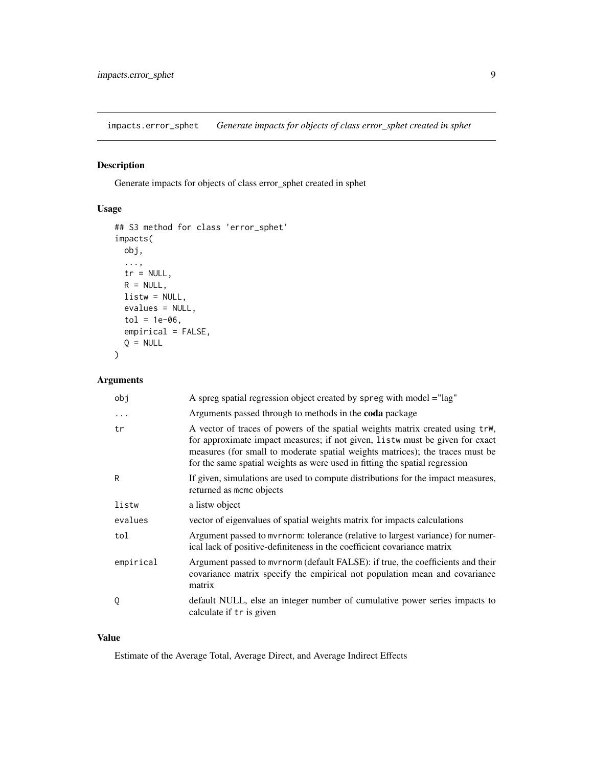<span id="page-8-0"></span>impacts.error\_sphet *Generate impacts for objects of class error\_sphet created in sphet*

# Description

Generate impacts for objects of class error\_sphet created in sphet

# Usage

```
## S3 method for class 'error_sphet'
impacts(
 obj,
 ...,
 tr = NULL,R = NULL,listw = NULL,
 evalues = NULL,
 tol = 1e-06,empirical = FALSE,
 Q = NULL)
```
# Arguments

| obj       | A spreg spatial regression object created by spreg with model = "lag"                                                                                                                                                                                                                                                         |
|-----------|-------------------------------------------------------------------------------------------------------------------------------------------------------------------------------------------------------------------------------------------------------------------------------------------------------------------------------|
| $\cdots$  | Arguments passed through to methods in the <b>coda</b> package                                                                                                                                                                                                                                                                |
| tr        | A vector of traces of powers of the spatial weights matrix created using trW,<br>for approximate impact measures; if not given, listw must be given for exact<br>measures (for small to moderate spatial weights matrices); the traces must be<br>for the same spatial weights as were used in fitting the spatial regression |
| R         | If given, simulations are used to compute distributions for the impact measures,<br>returned as momo objects                                                                                                                                                                                                                  |
| listw     | a listw object                                                                                                                                                                                                                                                                                                                |
| evalues   | vector of eigenvalues of spatial weights matrix for impacts calculations                                                                                                                                                                                                                                                      |
| tol       | Argument passed to myrnorm: tolerance (relative to largest variance) for numer-<br>ical lack of positive-definiteness in the coefficient covariance matrix                                                                                                                                                                    |
| empirical | Argument passed to myrnorm (default FALSE): if true, the coefficients and their<br>covariance matrix specify the empirical not population mean and covariance<br>matrix                                                                                                                                                       |
| Q         | default NULL, else an integer number of cumulative power series impacts to<br>calculate if tr is given                                                                                                                                                                                                                        |

#### Value

Estimate of the Average Total, Average Direct, and Average Indirect Effects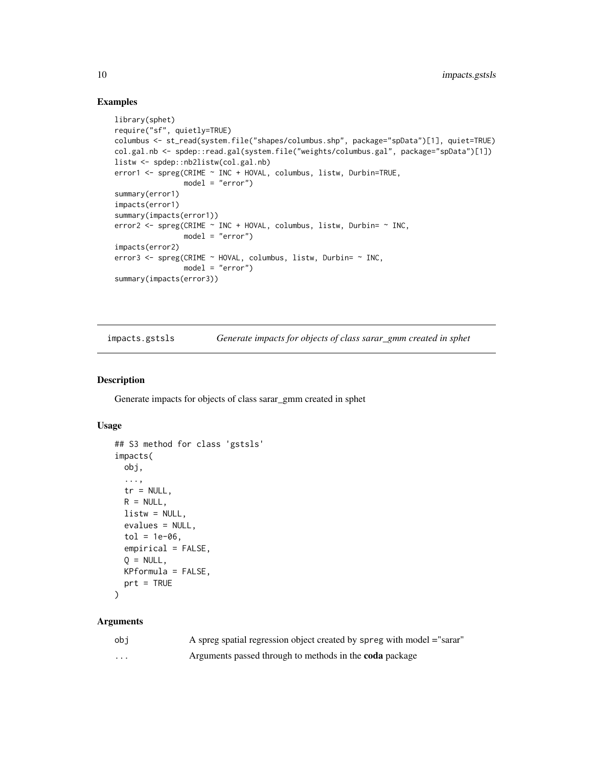#### Examples

```
library(sphet)
require("sf", quietly=TRUE)
columbus <- st_read(system.file("shapes/columbus.shp", package="spData")[1], quiet=TRUE)
col.gal.nb <- spdep::read.gal(system.file("weights/columbus.gal", package="spData")[1])
listw <- spdep::nb2listw(col.gal.nb)
error1 <- spreg(CRIME ~ INC + HOVAL, columbus, listw, Durbin=TRUE,
                model = "error")
summary(error1)
impacts(error1)
summary(impacts(error1))
error2 <- spreg(CRIME ~ INC + HOVAL, columbus, listw, Durbin= ~ INC,
                model = "error")
impacts(error2)
error3 <- spreg(CRIME ~ HOVAL, columbus, listw, Durbin= ~ INC,
               model = "error")
summary(impacts(error3))
```
impacts.gstsls *Generate impacts for objects of class sarar\_gmm created in sphet*

#### Description

Generate impacts for objects of class sarar\_gmm created in sphet

#### Usage

```
## S3 method for class 'gstsls'
impacts(
 obj,
  ...,
  tr = NULL,R = NULL,
 listw = NULL,
 evalues = NULL,
  tol = 1e-06,
  empirical = FALSE,
 Q = NULL,KPformula = FALSE,
 prt = TRUE
)
```

| obi      | A spreg spatial regression object created by spreg with model ="sarar" |
|----------|------------------------------------------------------------------------|
| $\cdots$ | Arguments passed through to methods in the <b>coda</b> package         |

<span id="page-9-0"></span>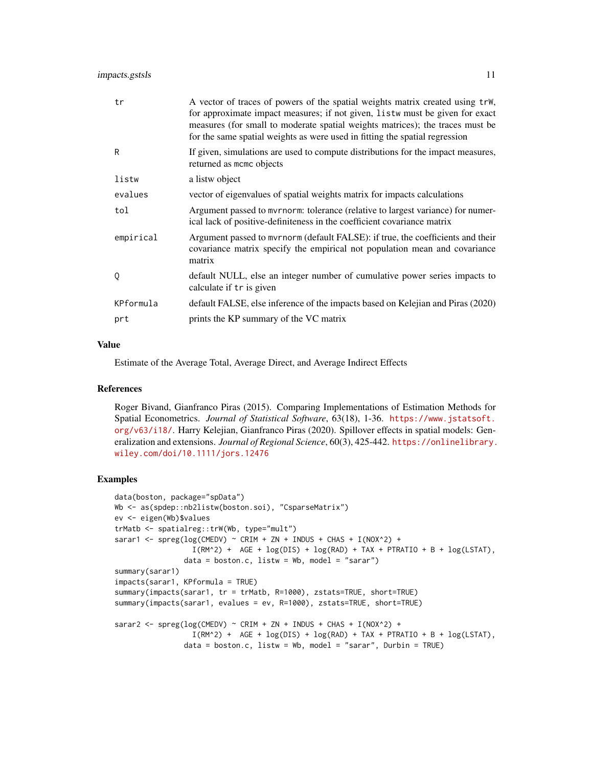# impacts.gstsls 11

| tr        | A vector of traces of powers of the spatial weights matrix created using trw,<br>for approximate impact measures; if not given, listw must be given for exact<br>measures (for small to moderate spatial weights matrices); the traces must be<br>for the same spatial weights as were used in fitting the spatial regression |
|-----------|-------------------------------------------------------------------------------------------------------------------------------------------------------------------------------------------------------------------------------------------------------------------------------------------------------------------------------|
| R         | If given, simulations are used to compute distributions for the impact measures,<br>returned as momo objects                                                                                                                                                                                                                  |
| listw     | a listw object                                                                                                                                                                                                                                                                                                                |
| evalues   | vector of eigenvalues of spatial weights matrix for impacts calculations                                                                                                                                                                                                                                                      |
| tol       | Argument passed to myrnorm: tolerance (relative to largest variance) for numer-<br>ical lack of positive-definiteness in the coefficient covariance matrix                                                                                                                                                                    |
| empirical | Argument passed to mvrnorm (default FALSE): if true, the coefficients and their<br>covariance matrix specify the empirical not population mean and covariance<br>matrix                                                                                                                                                       |
| 0         | default NULL, else an integer number of cumulative power series impacts to<br>calculate if tr is given                                                                                                                                                                                                                        |
| KPformula | default FALSE, else inference of the impacts based on Kelejian and Piras (2020)                                                                                                                                                                                                                                               |
| prt       | prints the KP summary of the VC matrix                                                                                                                                                                                                                                                                                        |

#### Value

Estimate of the Average Total, Average Direct, and Average Indirect Effects

# References

Roger Bivand, Gianfranco Piras (2015). Comparing Implementations of Estimation Methods for Spatial Econometrics. *Journal of Statistical Software*, 63(18), 1-36. [https://www.jstatsoft.](https://www.jstatsoft.org/v63/i18/) [org/v63/i18/](https://www.jstatsoft.org/v63/i18/). Harry Kelejian, Gianfranco Piras (2020). Spillover effects in spatial models: Generalization and extensions. *Journal of Regional Science*, 60(3), 425-442. [https://onlinelibrary.](https://onlinelibrary.wiley.com/doi/10.1111/jors.12476) [wiley.com/doi/10.1111/jors.12476](https://onlinelibrary.wiley.com/doi/10.1111/jors.12476)

```
data(boston, package="spData")
Wb <- as(spdep::nb2listw(boston.soi), "CsparseMatrix")
ev <- eigen(Wb)$values
trMatb <- spatialreg::trW(Wb, type="mult")
sarar1 <- spreg(log(CMEDV) ~ CRIM + ZN + INDUS + CHAS + I(NOX^2) +
                 I(RM^2) + AGE + log(DIS) + log(RAD) + TAX + PTRATIO + B + log(LSTAT),
                data = boston.c, listw = Wb, model = "sarar")summary(sarar1)
impacts(sarar1, KPformula = TRUE)
summary(impacts(sarar1, tr = trMatb, R=1000), zstats=TRUE, short=TRUE)
summary(impacts(sarar1, evalues = ev, R=1000), zstats=TRUE, short=TRUE)
sarar2 <- spreg(log(CMEDV) ~ CRIM + ZN + INDUS + CHAS + I(NOX^2) +
                 I(RM^2) + AGE + log(DIS) + log(RAD) + TAX + PTRATIO + B + log(LSTAT),
                data = boston.c, listw = Wb, model = "sarar", Durbin = TRUE)
```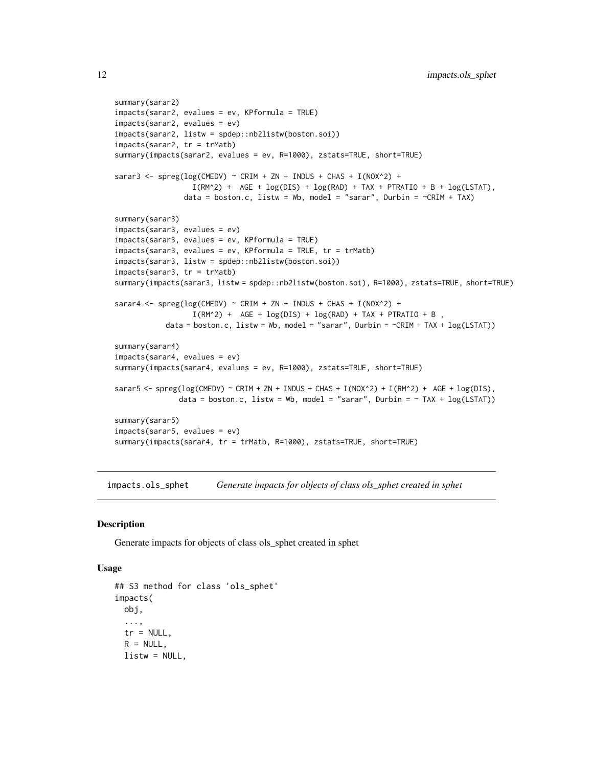```
summary(sarar2)
impacts(sarar2, evalues = ev, KPformula = TRUE)
impacts(sarar2, evalues = ev)
impacts(sarar2, listw = spdep::nb2listw(boston.soi))
impacts(sarar2, tr = trMatb)
summary(impacts(sarar2, evalues = ev, R=1000), zstats=TRUE, short=TRUE)
sarar3 <- spreg(log(CMEDV) ~ CRIM + ZN + INDUS + CHAS + I(NOX^2) +
                  I(RM^2) + AGE + log(DIS) + log(RAD) + TAX + PTRATIO + B + log(LSTAT),
                data = boston.c, listw = Wb, model = "sarar", Durbin = \simCRIM + TAX)
summary(sarar3)
impacts(sarar3, evalues = ev)
impacts(sarar3, evalues = ev, KPformula = TRUE)
impacts(sarar3, evalues = ev, KPformula = TRUE, tr = trMatb)
impacts(sarar3, listw = spdep::nb2listw(boston.soi))
impacts(sarar3, tr = trMatb)
summary(impacts(sarar3, listw = spdep::nb2listw(boston.soi), R=1000), zstats=TRUE, short=TRUE)
sarar4 <- spreg(log(CMEDV) ~ CRIM + ZN + INDUS + CHAS + I(NOX^2) +
                  I(RM^2) + AGE + log(DIS) + log(RAD) + TAX + PTRATIO + B,
           data = boston.c, listw = Wb, model = "sarar", Durbin = \text{~cRIM + TAX + log(LSTAT))}summary(sarar4)
impacts(sarar4, evalues = ev)
summary(impacts(sarar4, evalues = ev, R=1000), zstats=TRUE, short=TRUE)
sarar5 <- spreg(log(CMEDV) ~ CRIM + ZN + INDUS + CHAS + I(NOX^2) + I(RM^2) + AGE + log(DIS),
               data = boston.c, listw = Wb, model = "sarar", Durbin = \sim TAX + log(LSTAT))
summary(sarar5)
impacts(sarar5, evalues = ev)
summary(impacts(sarar4, tr = trMatb, R=1000), zstats=TRUE, short=TRUE)
```
impacts.ols\_sphet *Generate impacts for objects of class ols\_sphet created in sphet*

#### **Description**

Generate impacts for objects of class ols\_sphet created in sphet

#### Usage

```
## S3 method for class 'ols_sphet'
impacts(
 obj,
  ...,
  tr = NULL,R = NULL,listw = NULL,
```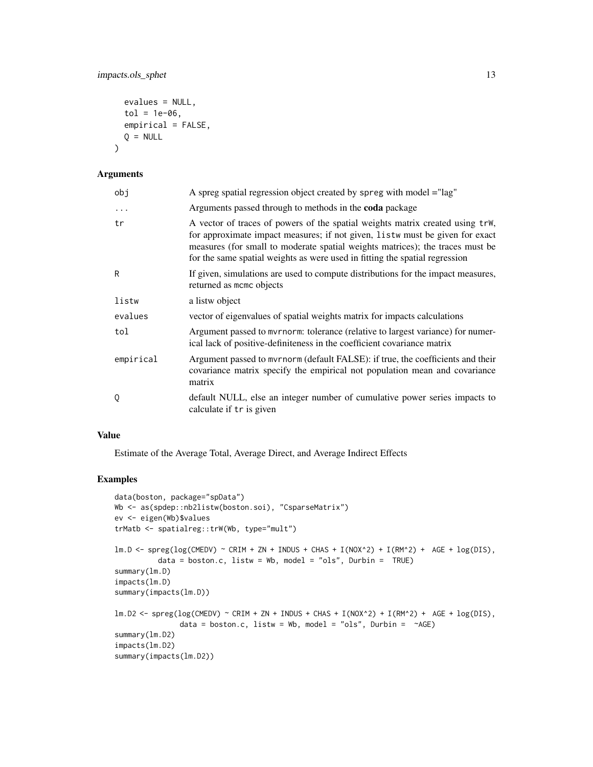```
evalues = NULL,
tol = 1e-06,
empirical = FALSE,
Q = NULL
```
#### Arguments

 $\lambda$ 

| obj       | A spreg spatial regression object created by spreg with model = "lag"                                                                                                                                                                                                                                                         |  |
|-----------|-------------------------------------------------------------------------------------------------------------------------------------------------------------------------------------------------------------------------------------------------------------------------------------------------------------------------------|--|
| $\ddots$  | Arguments passed through to methods in the <b>coda</b> package                                                                                                                                                                                                                                                                |  |
| tr        | A vector of traces of powers of the spatial weights matrix created using trW,<br>for approximate impact measures; if not given, listw must be given for exact<br>measures (for small to moderate spatial weights matrices); the traces must be<br>for the same spatial weights as were used in fitting the spatial regression |  |
| R         | If given, simulations are used to compute distributions for the impact measures,<br>returned as momo objects                                                                                                                                                                                                                  |  |
| listw     | a listw object                                                                                                                                                                                                                                                                                                                |  |
| evalues   | vector of eigenvalues of spatial weights matrix for impacts calculations                                                                                                                                                                                                                                                      |  |
| tol       | Argument passed to myrnorm: tolerance (relative to largest variance) for numer-<br>ical lack of positive-definiteness in the coefficient covariance matrix                                                                                                                                                                    |  |
| empirical | Argument passed to myrnorm (default FALSE): if true, the coefficients and their<br>covariance matrix specify the empirical not population mean and covariance<br>matrix                                                                                                                                                       |  |
| 0         | default NULL, else an integer number of cumulative power series impacts to<br>calculate if tr is given                                                                                                                                                                                                                        |  |

# Value

Estimate of the Average Total, Average Direct, and Average Indirect Effects

```
data(boston, package="spData")
Wb <- as(spdep::nb2listw(boston.soi), "CsparseMatrix")
ev <- eigen(Wb)$values
trMatb <- spatialreg::trW(Wb, type="mult")
lm.D \leq spreg(log(CMEDV) ~ CRIM + ZN + INDUS + CHAS + I(ROX^2) + I(RM^2) + AGE + log(DIS),
          data = boston.c, listw = Wb, model = "ols", Durbin = TRUE)
summary(lm.D)
impacts(lm.D)
summary(impacts(lm.D))
lm.D2 \leq -sprog(log(CMEDV) \sim CRIM + ZN + INDUS + CHAS + I(NOX^2) + I(RM^2) + AGE + log(DIS),data = boston.c, listw = Wb, model = "ols", Durbin = \simAGE)
summary(lm.D2)
impacts(lm.D2)
summary(impacts(lm.D2))
```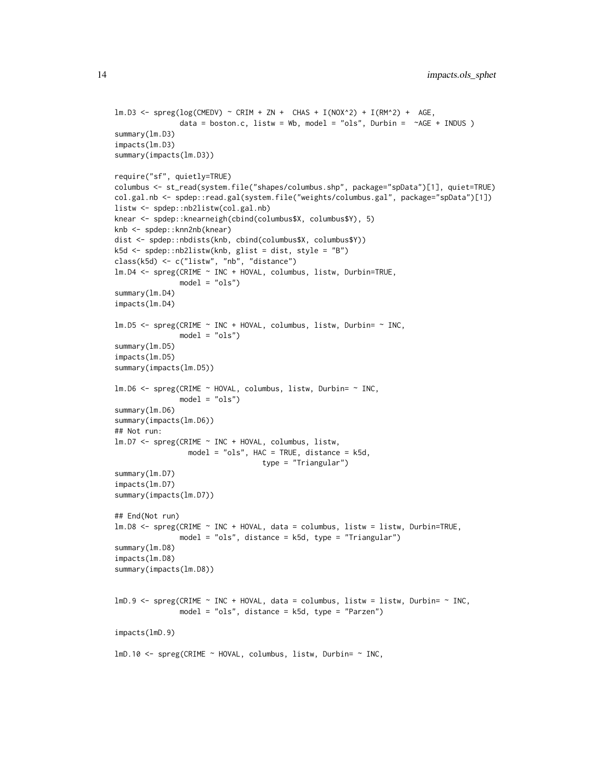```
lm.D3 \leq spreg(log(CMEDV) ~ CRIM + ZN + CHAS + I(NOX^2) + I(RM^2) + AGE,
               data = boston.c, listw = Wb, model = "ols", Durbin = \simAGE + INDUS )
summary(lm.D3)
impacts(lm.D3)
summary(impacts(lm.D3))
require("sf", quietly=TRUE)
columbus <- st_read(system.file("shapes/columbus.shp", package="spData")[1], quiet=TRUE)
col.gal.nb <- spdep::read.gal(system.file("weights/columbus.gal", package="spData")[1])
listw <- spdep::nb2listw(col.gal.nb)
knear <- spdep::knearneigh(cbind(columbus$X, columbus$Y), 5)
knb <- spdep::knn2nb(knear)
dist <- spdep::nbdists(knb, cbind(columbus$X, columbus$Y))
k5d <- spdep::nb2listw(knb, glist = dist, style = "B")
class(k5d) <- c("listw", "nb", "distance")
lm.D4 <- spreg(CRIME ~ INC + HOVAL, columbus, listw, Durbin=TRUE,
               model = "ols")summary(lm.D4)
impacts(lm.D4)
lm.D5 <- spreg(CRIME ~ INC + HOVAL, columbus, listw, Durbin= ~ INC,
               model = "ols")
summary(lm.D5)
impacts(lm.D5)
summary(impacts(lm.D5))
lm.D6 <- spreg(CRIME ~ HOVAL, columbus, listw, Durbin= ~ INC,
               model = "ols")summary(lm.D6)
summary(impacts(lm.D6))
## Not run:
lm.D7 <- spreg(CRIME ~ INC + HOVAL, columbus, listw,
                 model = "ols", HAC = TRUE, distance = k5d,
                                  type = "Triangular")
summary(lm.D7)
impacts(lm.D7)
summary(impacts(lm.D7))
## End(Not run)
lm.D8 <- spreg(CRIME ~ INC + HOVAL, data = columbus, listw = listw, Durbin=TRUE,
               model = "ols", distance = k5d, type = "Triangular")
summary(lm.D8)
impacts(lm.D8)
summary(impacts(lm.D8))
lmD.9 \leq spreg(CRIME \sim INC + HOVAL, data = columbus, listw = listw, Durbin= \sim INC,
               model = "ols", distance = k5d, type = "Parzen")
impacts(lmD.9)
lmD.10 <- spreg(CRIME ~ HOVAL, columbus, listw, Durbin= ~ INC,
```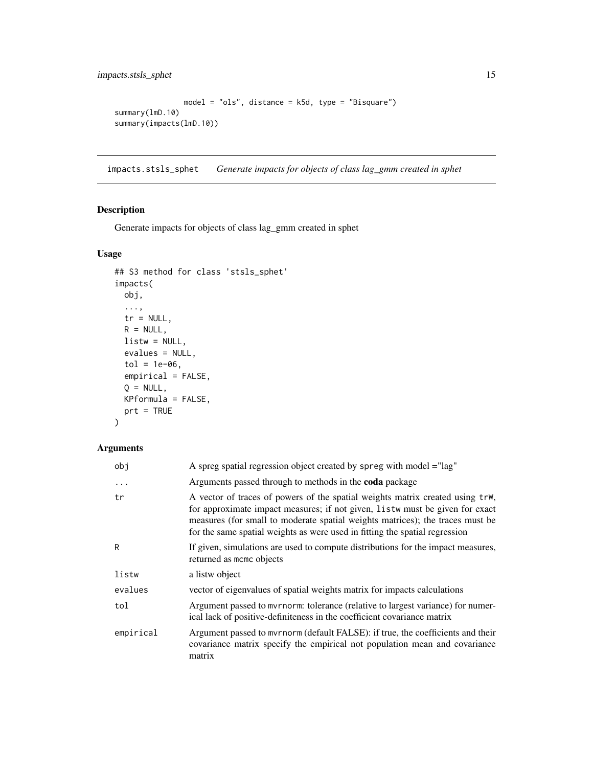<span id="page-14-0"></span>impacts.stsls\_sphet 15

```
model = "ols", distance = k5d, type = "Bisquare")
summary(lmD.10)
summary(impacts(lmD.10))
```
impacts.stsls\_sphet *Generate impacts for objects of class lag\_gmm created in sphet*

# Description

Generate impacts for objects of class lag\_gmm created in sphet

# Usage

```
## S3 method for class 'stsls_sphet'
impacts(
 obj,
  ...,
 tr = NULL,R = NULL,listw = NULL,
 evalues = NULL,
 tol = 1e-06,empirical = FALSE,
 Q = NULL,KPformula = FALSE,
 prt = TRUE
```
# )

| obj        | A spreg spatial regression object created by spreg with model = "lag"                                                                                                                                                                                                                                                         |  |
|------------|-------------------------------------------------------------------------------------------------------------------------------------------------------------------------------------------------------------------------------------------------------------------------------------------------------------------------------|--|
| $\ddots$ . | Arguments passed through to methods in the coda package                                                                                                                                                                                                                                                                       |  |
| tr         | A vector of traces of powers of the spatial weights matrix created using trW,<br>for approximate impact measures; if not given, listw must be given for exact<br>measures (for small to moderate spatial weights matrices); the traces must be<br>for the same spatial weights as were used in fitting the spatial regression |  |
| R          | If given, simulations are used to compute distributions for the impact measures,<br>returned as momo objects                                                                                                                                                                                                                  |  |
| listw      | a listw object                                                                                                                                                                                                                                                                                                                |  |
| evalues    | vector of eigenvalues of spatial weights matrix for impacts calculations                                                                                                                                                                                                                                                      |  |
| tol        | Argument passed to myrnorm: tolerance (relative to largest variance) for numer-<br>ical lack of positive-definiteness in the coefficient covariance matrix                                                                                                                                                                    |  |
| empirical  | Argument passed to mvrnorm (default FALSE): if true, the coefficients and their<br>covariance matrix specify the empirical not population mean and covariance<br>matrix                                                                                                                                                       |  |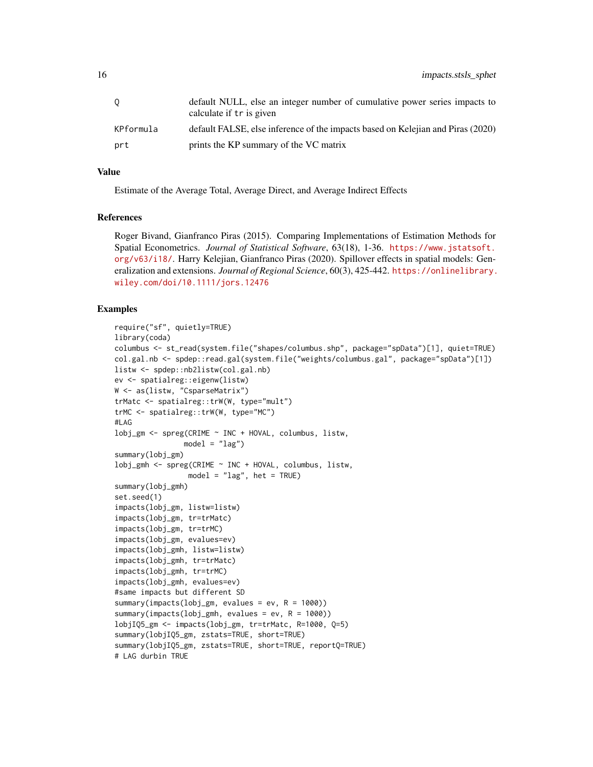|           | default NULL, else an integer number of cumulative power series impacts to<br>calculate if tr is given |
|-----------|--------------------------------------------------------------------------------------------------------|
| KPformula | default FALSE, else inference of the impacts based on Kelejian and Piras (2020)                        |
| prt       | prints the KP summary of the VC matrix                                                                 |

# Value

Estimate of the Average Total, Average Direct, and Average Indirect Effects

# References

Roger Bivand, Gianfranco Piras (2015). Comparing Implementations of Estimation Methods for Spatial Econometrics. *Journal of Statistical Software*, 63(18), 1-36. [https://www.jstatsoft.](https://www.jstatsoft.org/v63/i18/) [org/v63/i18/](https://www.jstatsoft.org/v63/i18/). Harry Kelejian, Gianfranco Piras (2020). Spillover effects in spatial models: Generalization and extensions. *Journal of Regional Science*, 60(3), 425-442. [https://onlinelibrary.](https://onlinelibrary.wiley.com/doi/10.1111/jors.12476) [wiley.com/doi/10.1111/jors.12476](https://onlinelibrary.wiley.com/doi/10.1111/jors.12476)

```
require("sf", quietly=TRUE)
library(coda)
columbus <- st_read(system.file("shapes/columbus.shp", package="spData")[1], quiet=TRUE)
col.gal.nb <- spdep::read.gal(system.file("weights/columbus.gal", package="spData")[1])
listw <- spdep::nb2listw(col.gal.nb)
ev <- spatialreg::eigenw(listw)
W <- as(listw, "CsparseMatrix")
trMatc <- spatialreg::trW(W, type="mult")
trMC <- spatialreg::trW(W, type="MC")
#LAG
lobj_gm <- spreg(CRIME ~ INC + HOVAL, columbus, listw,
                model = "lag")summary(lobj_gm)
lobj_gmh <- spreg(CRIME ~ INC + HOVAL, columbus, listw,
                 model = "lag", het = TRUE)
summary(lobj_gmh)
set.seed(1)
impacts(lobj_gm, listw=listw)
impacts(lobj_gm, tr=trMatc)
impacts(lobj_gm, tr=trMC)
impacts(lobj_gm, evalues=ev)
impacts(lobj_gmh, listw=listw)
impacts(lobj_gmh, tr=trMatc)
impacts(lobj_gmh, tr=trMC)
impacts(lobj_gmh, evalues=ev)
#same impacts but different SD
summary(impacts(lobj_gm, evalues = ev, R = 1000))
summary(impacts(lobj_gmh, evalues = ev, R = 1000))
lobjIQ5_gm <- impacts(lobj_gm, tr=trMatc, R=1000, Q=5)
summary(lobjIQ5_gm, zstats=TRUE, short=TRUE)
summary(lobjIQ5_gm, zstats=TRUE, short=TRUE, reportQ=TRUE)
# LAG durbin TRUE
```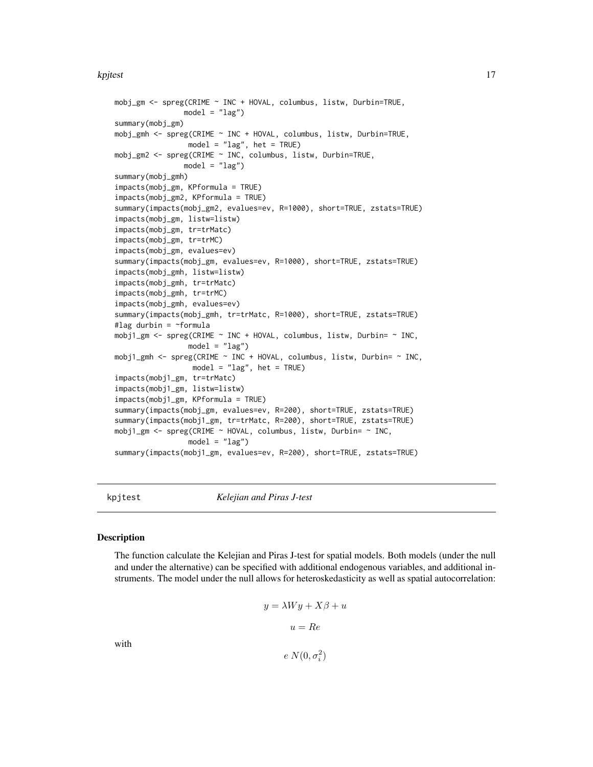#### <span id="page-16-0"></span>kpjtest termine i 17

```
mobj_gm <- spreg(CRIME ~ INC + HOVAL, columbus, listw, Durbin=TRUE,
               model = "lag")summary(mobj_gm)
mobj_gmh <- spreg(CRIME ~ INC + HOVAL, columbus, listw, Durbin=TRUE,
                model = "lag", het = TRUE)
mobj_gm2 <- spreg(CRIME ~ INC, columbus, listw, Durbin=TRUE,
               model = "lag")summary(mobj_gmh)
impacts(mobj_gm, KPformula = TRUE)
impacts(mobj_gm2, KPformula = TRUE)
summary(impacts(mobj_gm2, evalues=ev, R=1000), short=TRUE, zstats=TRUE)
impacts(mobj_gm, listw=listw)
impacts(mobj_gm, tr=trMatc)
impacts(mobj_gm, tr=trMC)
impacts(mobj_gm, evalues=ev)
summary(impacts(mobj_gm, evalues=ev, R=1000), short=TRUE, zstats=TRUE)
impacts(mobj_gmh, listw=listw)
impacts(mobj_gmh, tr=trMatc)
impacts(mobj_gmh, tr=trMC)
impacts(mobj_gmh, evalues=ev)
summary(impacts(mobj_gmh, tr=trMatc, R=1000), short=TRUE, zstats=TRUE)
#lag durbin = ~formula
mobj1_gm <- spreg(CRIME ~ INC + HOVAL, columbus, listw, Durbin= ~ INC,
                 model = "lag")mobj1_gmh <- spreg(CRIME ~ INC + HOVAL, columbus, listw, Durbin= ~ INC,
                 model = "lag", het = TRUE)
impacts(mobj1_gm, tr=trMatc)
impacts(mobj1_gm, listw=listw)
impacts(mobj1_gm, KPformula = TRUE)
summary(impacts(mobj_gm, evalues=ev, R=200), short=TRUE, zstats=TRUE)
summary(impacts(mobj1_gm, tr=trMatc, R=200), short=TRUE, zstats=TRUE)
mobj1_gm <- spreg(CRIME ~ HOVAL, columbus, listw, Durbin= ~ INC,
                 model = "lag")summary(impacts(mobj1_gm, evalues=ev, R=200), short=TRUE, zstats=TRUE)
```
kpjtest *Kelejian and Piras J-test*

#### Description

The function calculate the Kelejian and Piras J-test for spatial models. Both models (under the null and under the alternative) can be specified with additional endogenous variables, and additional instruments. The model under the null allows for heteroskedasticity as well as spatial autocorrelation:

$$
y = \lambda Wy + X\beta + u
$$

$$
u = Re
$$

with

 $e N(0, \sigma_i^2)$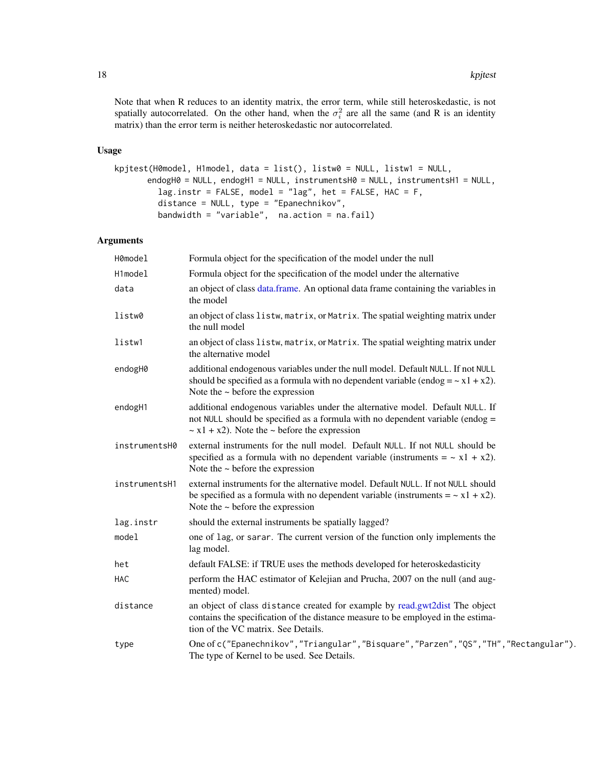<span id="page-17-0"></span>Note that when R reduces to an identity matrix, the error term, while still heteroskedastic, is not spatially autocorrelated. On the other hand, when the  $\sigma_i^2$  are all the same (and R is an identity matrix) than the error term is neither heteroskedastic nor autocorrelated.

# Usage

```
kpjtest(H0model, H1model, data = list(), listw0 = NULL, listw1 = NULL,
      endogH0 = NULL, endogH1 = NULL, instrumentsH0 = NULL, instrumentsH1 = NULL,
         lag.instr = FALSE, model = "lag", het = FALSE, HAC = F,
         distance = NULL, type = "Epanechnikov",
         bandwidth = "variable", na.action = na.fail)
```

| H0model       | Formula object for the specification of the model under the null                                                                                                                                                         |
|---------------|--------------------------------------------------------------------------------------------------------------------------------------------------------------------------------------------------------------------------|
| H1model       | Formula object for the specification of the model under the alternative                                                                                                                                                  |
| data          | an object of class data frame. An optional data frame containing the variables in<br>the model                                                                                                                           |
| listw0        | an object of class listw, matrix, or Matrix. The spatial weighting matrix under<br>the null model                                                                                                                        |
| listw1        | an object of class listw, matrix, or Matrix. The spatial weighting matrix under<br>the alternative model                                                                                                                 |
| endogH0       | additional endogenous variables under the null model. Default NULL. If not NULL<br>should be specified as a formula with no dependent variable (endog = $\sim x1 + x2$ ).<br>Note the $\sim$ before the expression       |
| endogH1       | additional endogenous variables under the alternative model. Default NULL. If<br>not NULL should be specified as a formula with no dependent variable (endog =<br>$\sim$ x1 + x2). Note the $\sim$ before the expression |
| instrumentsH0 | external instruments for the null model. Default NULL. If not NULL should be<br>specified as a formula with no dependent variable (instruments = $\sim x1 + x2$ ).<br>Note the $\sim$ before the expression              |
| instrumentsH1 | external instruments for the alternative model. Default NULL. If not NULL should<br>be specified as a formula with no dependent variable (instruments = $\sim x1 + x2$ ).<br>Note the $\sim$ before the expression       |
| lag.instr     | should the external instruments be spatially lagged?                                                                                                                                                                     |
| model         | one of lag, or sarar. The current version of the function only implements the<br>lag model.                                                                                                                              |
| het           | default FALSE: if TRUE uses the methods developed for heteroskedasticity                                                                                                                                                 |
| HAC           | perform the HAC estimator of Kelejian and Prucha, 2007 on the null (and aug-<br>mented) model.                                                                                                                           |
| distance      | an object of class distance created for example by read.gwt2dist The object<br>contains the specification of the distance measure to be employed in the estima-<br>tion of the VC matrix. See Details.                   |
| type          | One of c("Epanechnikov", "Triangular", "Bisquare", "Parzen", "QS", "TH", "Rectangular").<br>The type of Kernel to be used. See Details.                                                                                  |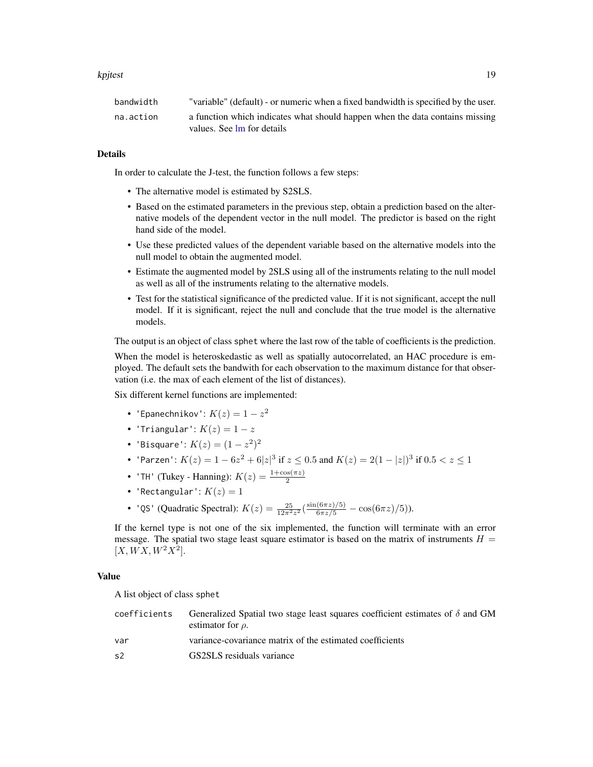#### <span id="page-18-0"></span>kpjtest termine i 1990-termine i 1990-termine i 1990-termine i 1990-termine i 1990-termine i 1990-termine i 19

| bandwidth | "variable" (default) - or numeric when a fixed bandwidth is specified by the user. |
|-----------|------------------------------------------------------------------------------------|
| na.action | a function which indicates what should happen when the data contains missing       |
|           | values. See lm for details                                                         |

# Details

In order to calculate the J-test, the function follows a few steps:

- The alternative model is estimated by S2SLS.
- Based on the estimated parameters in the previous step, obtain a prediction based on the alternative models of the dependent vector in the null model. The predictor is based on the right hand side of the model.
- Use these predicted values of the dependent variable based on the alternative models into the null model to obtain the augmented model.
- Estimate the augmented model by 2SLS using all of the instruments relating to the null model as well as all of the instruments relating to the alternative models.
- Test for the statistical significance of the predicted value. If it is not significant, accept the null model. If it is significant, reject the null and conclude that the true model is the alternative models.

The output is an object of class sphet where the last row of the table of coefficients is the prediction.

When the model is heteroskedastic as well as spatially autocorrelated, an HAC procedure is employed. The default sets the bandwith for each observation to the maximum distance for that observation (i.e. the max of each element of the list of distances).

Six different kernel functions are implemented:

- 'Epanechnikov':  $K(z)=1-z^2$
- 'Triangular':  $K(z) = 1 z$
- 'Bisquare':  $K(z) = (1 z^2)^2$
- 'Parzen':  $K(z) = 1 6z^2 + 6|z|^3$  if  $z \le 0.5$  and  $K(z) = 2(1 |z|)^3$  if  $0.5 < z \le 1$
- 'TH' (Tukey Hanning):  $K(z) = \frac{1+\cos(\pi z)}{2}$
- 'Rectangular':  $K(z) = 1$
- 'QS' (Quadratic Spectral):  $K(z) = \frac{25}{12\pi^2 z^2} \left( \frac{\sin(6\pi z)/5)}{6\pi z/5} \cos(6\pi z)/5 \right)$ ).

If the kernel type is not one of the six implemented, the function will terminate with an error message. The spatial two stage least square estimator is based on the matrix of instruments  $H =$  $[X,WX, W^2X^2].$ 

#### Value

A list object of class sphet

| coefficients   | Generalized Spatial two stage least squares coefficient estimates of $\delta$ and GM<br>estimator for $\rho$ . |
|----------------|----------------------------------------------------------------------------------------------------------------|
| var            | variance-covariance matrix of the estimated coefficients                                                       |
| s <sub>2</sub> | GS2SLS residuals variance                                                                                      |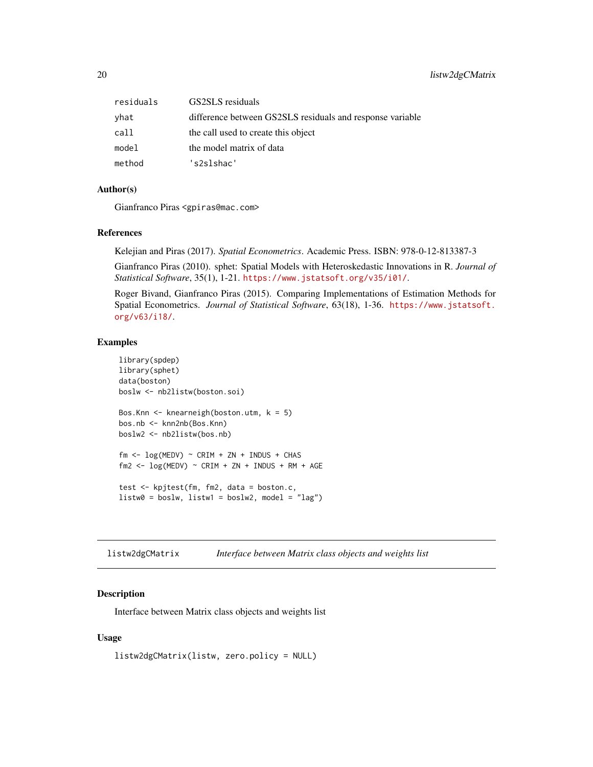<span id="page-19-0"></span>

| residuals | GS2SLS residuals                                          |
|-----------|-----------------------------------------------------------|
| yhat      | difference between GS2SLS residuals and response variable |
| call      | the call used to create this object                       |
| model     | the model matrix of data                                  |
| method    | 's2slshac'                                                |

# Author(s)

Gianfranco Piras <gpiras@mac.com>

#### References

Kelejian and Piras (2017). *Spatial Econometrics*. Academic Press. ISBN: 978-0-12-813387-3

Gianfranco Piras (2010). sphet: Spatial Models with Heteroskedastic Innovations in R. *Journal of Statistical Software*, 35(1), 1-21. <https://www.jstatsoft.org/v35/i01/>.

Roger Bivand, Gianfranco Piras (2015). Comparing Implementations of Estimation Methods for Spatial Econometrics. *Journal of Statistical Software*, 63(18), 1-36. [https://www.jstatsoft.](https://www.jstatsoft.org/v63/i18/) [org/v63/i18/](https://www.jstatsoft.org/v63/i18/).

#### Examples

```
library(spdep)
library(sphet)
data(boston)
boslw <- nb2listw(boston.soi)
Bos.Knn <- knearneigh(boston.utm, k = 5)
bos.nb <- knn2nb(Bos.Knn)
boslw2 <- nb2listw(bos.nb)
fm \leq log(MEDV) \sim CRIM + ZN + INDUS + CHASfm2 \leq -\log(MEDV) \sim CRIM + ZN + INDUS + RM + AGEtest <- kpjtest(fm, fm2, data = boston.c,
listw0 = bos1w, listw1 = bos1w2, model = "lag")
```
<span id="page-19-1"></span>listw2dgCMatrix *Interface between Matrix class objects and weights list*

# Description

Interface between Matrix class objects and weights list

### Usage

listw2dgCMatrix(listw, zero.policy = NULL)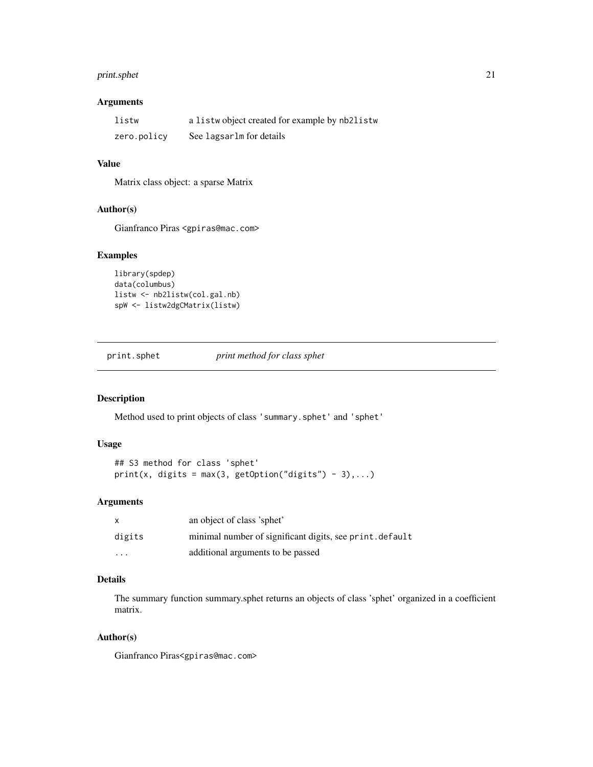# <span id="page-20-0"></span>print.sphet 21

# Arguments

| listw       | a listwo bject created for example by nb2listw |
|-------------|------------------------------------------------|
| zero.policy | See lagsarlm for details                       |

#### Value

Matrix class object: a sparse Matrix

#### Author(s)

Gianfranco Piras <gpiras@mac.com>

# Examples

```
library(spdep)
data(columbus)
listw <- nb2listw(col.gal.nb)
spW <- listw2dgCMatrix(listw)
```
print.sphet *print method for class sphet*

# Description

Method used to print objects of class 'summary.sphet' and 'sphet'

#### Usage

```
## S3 method for class 'sphet'
print(x, digits = max(3, getOption("digits") - 3), ...)
```
# Arguments

| $\mathsf{x}$            | an object of class 'sphet'                               |
|-------------------------|----------------------------------------------------------|
| digits                  | minimal number of significant digits, see print. default |
| $\cdot$ $\cdot$ $\cdot$ | additional arguments to be passed                        |

# Details

The summary function summary.sphet returns an objects of class 'sphet' organized in a coefficient matrix.

#### Author(s)

Gianfranco Piras<gpiras@mac.com>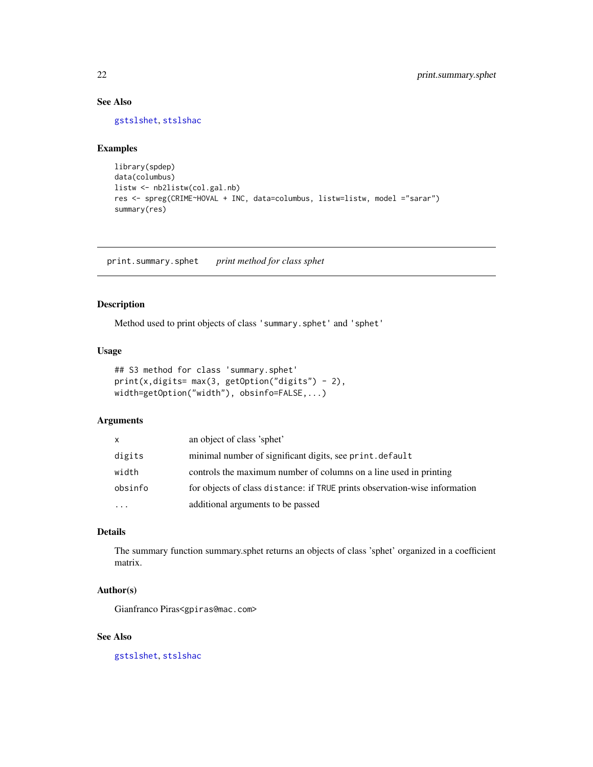# <span id="page-21-0"></span>See Also

[gstslshet](#page-5-1), [stslshac](#page-26-1)

# Examples

```
library(spdep)
data(columbus)
listw <- nb2listw(col.gal.nb)
res <- spreg(CRIME~HOVAL + INC, data=columbus, listw=listw, model ="sarar")
summary(res)
```
print.summary.sphet *print method for class sphet*

# Description

Method used to print objects of class 'summary.sphet' and 'sphet'

# Usage

```
## S3 method for class 'summary.sphet'
print(x,digits= max(3, getOption("digits") - 2),
width=getOption("width"), obsinfo=FALSE,...)
```
# Arguments

| X        | an object of class 'sphet'                                                 |
|----------|----------------------------------------------------------------------------|
| digits   | minimal number of significant digits, see print. default                   |
| width    | controls the maximum number of columns on a line used in printing          |
| obsinfo  | for objects of class distance: if TRUE prints observation-wise information |
| $\cdots$ | additional arguments to be passed                                          |

# Details

The summary function summary.sphet returns an objects of class 'sphet' organized in a coefficient matrix.

# Author(s)

Gianfranco Piras<gpiras@mac.com>

#### See Also

[gstslshet](#page-5-1), [stslshac](#page-26-1)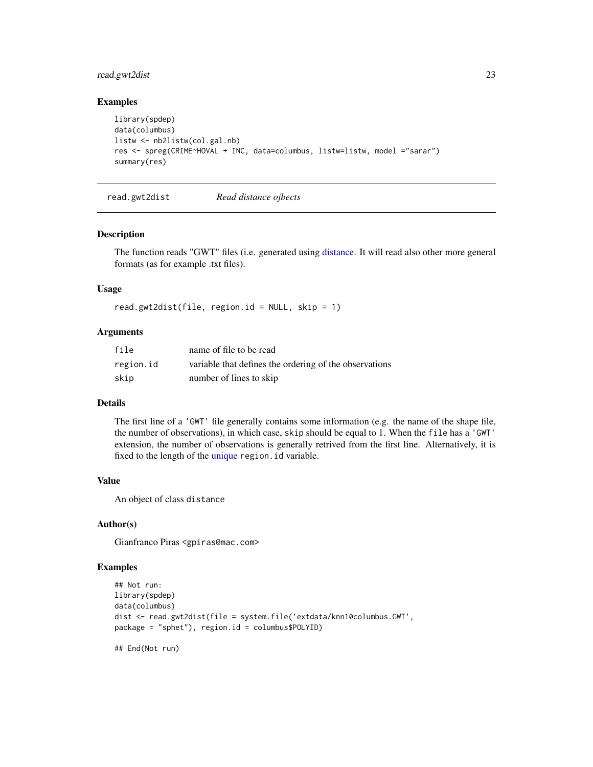# <span id="page-22-0"></span>read.gwt2dist 23

#### Examples

```
library(spdep)
data(columbus)
listw <- nb2listw(col.gal.nb)
res <- spreg(CRIME~HOVAL + INC, data=columbus, listw=listw, model ="sarar")
summary(res)
```
<span id="page-22-1"></span>read.gwt2dist *Read distance ojbects*

# Description

The function reads "GWT" files (i.e. generated using [distance.](#page-3-1) It will read also other more general formats (as for example .txt files).

#### Usage

```
read.gwt2dist(file, region.id = NULL, skip = 1)
```
#### Arguments

| file      | name of file to be read                                |
|-----------|--------------------------------------------------------|
| region.id | variable that defines the ordering of the observations |
| skip      | number of lines to skip                                |

#### Details

The first line of a 'GWT' file generally contains some information (e.g. the name of the shape file, the number of observations), in which case, skip should be equal to 1. When the file has a 'GWT' extension, the number of observations is generally retrived from the first line. Alternatively, it is fixed to the length of the [unique](#page-0-0) region. id variable.

#### Value

An object of class distance

#### Author(s)

Gianfranco Piras <gpiras@mac.com>

#### Examples

```
## Not run:
library(spdep)
data(columbus)
dist <- read.gwt2dist(file = system.file('extdata/knn10columbus.GWT',
package = "sphet"), region.id = columbus$POLYID)
```
## End(Not run)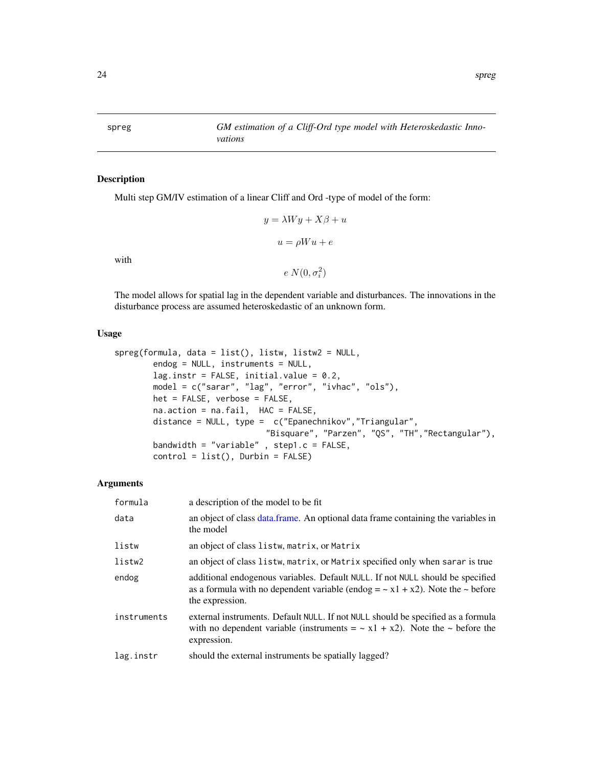<span id="page-23-0"></span>spreg *GM estimation of a Cliff-Ord type model with Heteroskedastic Innovations*

# Description

Multi step GM/IV estimation of a linear Cliff and Ord -type of model of the form:

$$
y = \lambda Wy + X\beta + u
$$

$$
u = \rho Wu + e
$$

with

```
e N(0, \sigma_i^2)
```
The model allows for spatial lag in the dependent variable and disturbances. The innovations in the disturbance process are assumed heteroskedastic of an unknown form.

#### Usage

```
spreg(formula, data = list(), listw, listw2 = NULL,
       endog = NULL, instruments = NULL,
       lag.instr = FALSE, initial.value = 0.2,
       model = c("sarar", "lag", "error", "ivhac", "ols"),
       het = FALSE, verbose = FALSE,
       na.action = na.fail, HAC = FALSE,
       distance = NULL, type = c("Epanechnikov","Triangular",
                               "Bisquare", "Parzen", "QS", "TH","Rectangular"),
       bandwidth = "variable" , step1.c = FALSE,
       control = list(), Durbin = FALSE)
```

| formula     | a description of the model to be fit.                                                                                                                                                          |
|-------------|------------------------------------------------------------------------------------------------------------------------------------------------------------------------------------------------|
| data        | an object of class data frame. An optional data frame containing the variables in<br>the model                                                                                                 |
| listw       | an object of class listw, matrix, or Matrix                                                                                                                                                    |
| listw2      | an object of class listw, matrix, or Matrix specified only when sarar is true                                                                                                                  |
| endog       | additional endogenous variables. Default NULL. If not NULL should be specified<br>as a formula with no dependent variable (endog = $\sim x1 + x2$ ). Note the $\sim$ before<br>the expression. |
| instruments | external instruments. Default NULL. If not NULL should be specified as a formula<br>with no dependent variable (instruments $= \alpha x_1 + x_2$ ). Note the $\sim$ before the<br>expression.  |
| lag.instr   | should the external instruments be spatially lagged?                                                                                                                                           |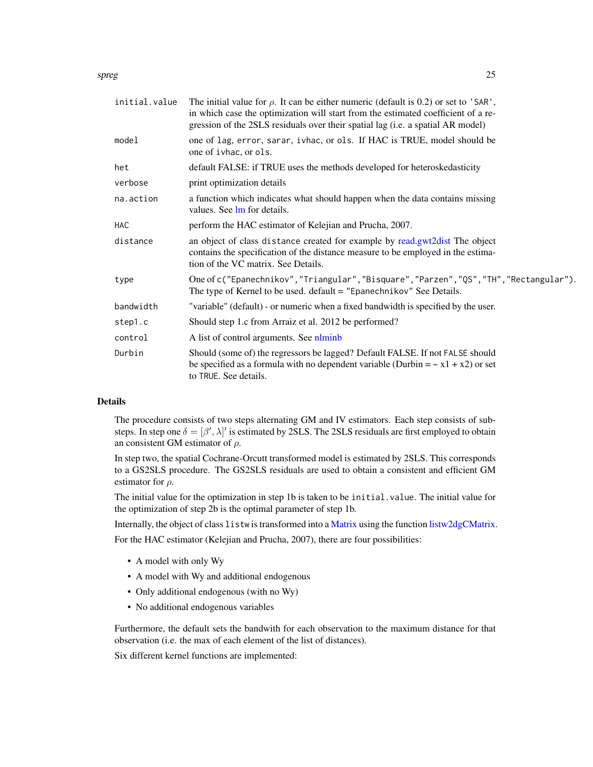#### <span id="page-24-0"></span>spreg 25

| initial.value | The initial value for $\rho$ . It can be either numeric (default is 0.2) or set to 'SAR',<br>in which case the optimization will start from the estimated coefficient of a re-<br>gression of the 2SLS residuals over their spatial lag (i.e. a spatial AR model) |  |
|---------------|-------------------------------------------------------------------------------------------------------------------------------------------------------------------------------------------------------------------------------------------------------------------|--|
| model         | one of lag, error, sarar, ivhac, or ols. If HAC is TRUE, model should be<br>one of ivhac, or ols.                                                                                                                                                                 |  |
| het           | default FALSE: if TRUE uses the methods developed for heteroskedasticity                                                                                                                                                                                          |  |
| verbose       | print optimization details                                                                                                                                                                                                                                        |  |
| na.action     | a function which indicates what should happen when the data contains missing<br>values. See lm for details.                                                                                                                                                       |  |
| HAC           | perform the HAC estimator of Kelejian and Prucha, 2007.                                                                                                                                                                                                           |  |
| distance      | an object of class distance created for example by read.gwt2dist The object<br>contains the specification of the distance measure to be employed in the estima-<br>tion of the VC matrix. See Details.                                                            |  |
| type          | One of c("Epanechnikov", "Triangular", "Bisquare", "Parzen", "QS", "TH", "Rectangular").<br>The type of Kernel to be used. $default = "Epanechnikov"$ See Details.                                                                                                |  |
| bandwidth     | "variable" (default) - or numeric when a fixed bandwidth is specified by the user.                                                                                                                                                                                |  |
| step1.c       | Should step 1.c from Arraiz et al. 2012 be performed?                                                                                                                                                                                                             |  |
| control       | A list of control arguments. See nlminb                                                                                                                                                                                                                           |  |
| Durbin        | Should (some of) the regressors be lagged? Default FALSE. If not FALSE should<br>be specified as a formula with no dependent variable (Durbin = $\sim x1 + x2$ ) or set<br>to TRUE. See details.                                                                  |  |

# Details

The procedure consists of two steps alternating GM and IV estimators. Each step consists of substeps. In step one  $\delta = [\beta', \lambda]'$  is estimated by 2SLS. The 2SLS residuals are first employed to obtain an consistent GM estimator of  $\rho$ .

In step two, the spatial Cochrane-Orcutt transformed model is estimated by 2SLS. This corresponds to a GS2SLS procedure. The GS2SLS residuals are used to obtain a consistent and efficient GM estimator for  $\rho$ .

The initial value for the optimization in step 1b is taken to be initial.value. The initial value for the optimization of step 2b is the optimal parameter of step 1b.

Internally, the object of class listw is transformed into a [Matrix](#page-0-0) using the function [listw2dgCMatrix.](#page-19-1)

For the HAC estimator (Kelejian and Prucha, 2007), there are four possibilities:

- A model with only Wy
- A model with Wy and additional endogenous
- Only additional endogenous (with no Wy)
- No additional endogenous variables

Furthermore, the default sets the bandwith for each observation to the maximum distance for that observation (i.e. the max of each element of the list of distances).

Six different kernel functions are implemented: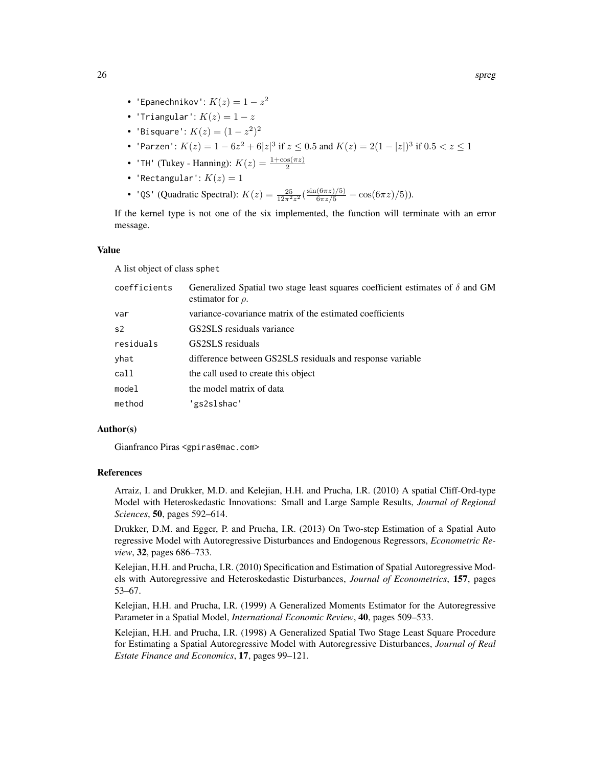- 'Epanechnikov':  $K(z)=1-z^2$
- 'Triangular':  $K(z) = 1 z$
- 'Bisquare':  $K(z) = (1 z^2)^2$
- 'Parzen':  $K(z) = 1 6z^2 + 6|z|^3$  if  $z \le 0.5$  and  $K(z) = 2(1 |z|)^3$  if  $0.5 < z \le 1$
- 'TH' (Tukey Hanning):  $K(z) = \frac{1+\cos(\pi z)}{2}$
- 'Rectangular':  $K(z) = 1$
- 'QS' (Quadratic Spectral):  $K(z) = \frac{25}{12\pi^2 z^2} \left( \frac{\sin(6\pi z)/5)}{6\pi z/5} \cos(6\pi z)/5 \right)$ ).

If the kernel type is not one of the six implemented, the function will terminate with an error message.

#### Value

A list object of class sphet

| coefficients   | Generalized Spatial two stage least squares coefficient estimates of $\delta$ and GM<br>estimator for $\rho$ . |
|----------------|----------------------------------------------------------------------------------------------------------------|
| var            | variance-covariance matrix of the estimated coefficients                                                       |
| s <sub>2</sub> | GS2SLS residuals variance                                                                                      |
| residuals      | GS2SLS residuals                                                                                               |
| yhat           | difference between GS2SLS residuals and response variable                                                      |
| call           | the call used to create this object                                                                            |
| model          | the model matrix of data                                                                                       |
| method         | 'gs2slshac'                                                                                                    |

#### Author(s)

Gianfranco Piras <gpiras@mac.com>

#### References

Arraiz, I. and Drukker, M.D. and Kelejian, H.H. and Prucha, I.R. (2010) A spatial Cliff-Ord-type Model with Heteroskedastic Innovations: Small and Large Sample Results, *Journal of Regional Sciences*, 50, pages 592–614.

Drukker, D.M. and Egger, P. and Prucha, I.R. (2013) On Two-step Estimation of a Spatial Auto regressive Model with Autoregressive Disturbances and Endogenous Regressors, *Econometric Review*, 32, pages 686–733.

Kelejian, H.H. and Prucha, I.R. (2010) Specification and Estimation of Spatial Autoregressive Models with Autoregressive and Heteroskedastic Disturbances, *Journal of Econometrics*, 157, pages 53–67.

Kelejian, H.H. and Prucha, I.R. (1999) A Generalized Moments Estimator for the Autoregressive Parameter in a Spatial Model, *International Economic Review*, 40, pages 509–533.

Kelejian, H.H. and Prucha, I.R. (1998) A Generalized Spatial Two Stage Least Square Procedure for Estimating a Spatial Autoregressive Model with Autoregressive Disturbances, *Journal of Real Estate Finance and Economics*, 17, pages 99–121.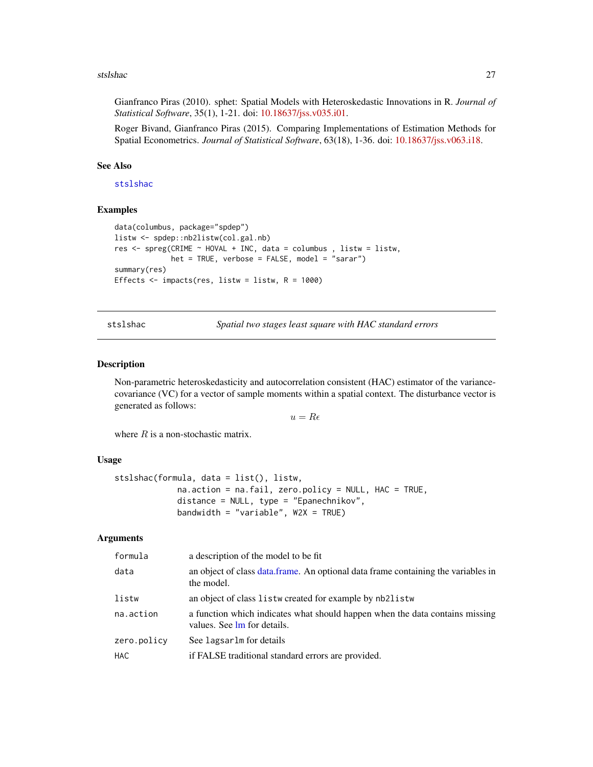#### <span id="page-26-0"></span>stslshac 27

Gianfranco Piras (2010). sphet: Spatial Models with Heteroskedastic Innovations in R. *Journal of Statistical Software*, 35(1), 1-21. doi: [10.18637/jss.v035.i01.](https://doi.org/10.18637/jss.v035.i01)

Roger Bivand, Gianfranco Piras (2015). Comparing Implementations of Estimation Methods for Spatial Econometrics. *Journal of Statistical Software*, 63(18), 1-36. doi: [10.18637/jss.v063.i18.](https://doi.org/10.18637/jss.v063.i18)

#### See Also

[stslshac](#page-26-1)

#### Examples

```
data(columbus, package="spdep")
listw <- spdep::nb2listw(col.gal.nb)
res <- spreg(CRIME ~ HOVAL + INC, data = columbus , listw = listw,
            het = TRUE, verbose = FALSE, model = "sarar")
summary(res)
Effects \le impacts(res, listw = listw, R = 1000)
```
<span id="page-26-1"></span>stslshac *Spatial two stages least square with HAC standard errors*

#### Description

Non-parametric heteroskedasticity and autocorrelation consistent (HAC) estimator of the variancecovariance (VC) for a vector of sample moments within a spatial context. The disturbance vector is generated as follows:

 $u = R\epsilon$ 

where  $R$  is a non-stochastic matrix.

#### Usage

```
stslshac(formula, data = list(), listw,
            na.action = na.fail, zero.policy = NULL, HAC = TRUE,
             distance = NULL, type = "Epanechnikov",
            bandwidth = "variable", W2X = TRUE)
```

| formula     | a description of the model to be fit                                                                        |
|-------------|-------------------------------------------------------------------------------------------------------------|
| data        | an object of class data frame. An optional data frame containing the variables in<br>the model.             |
| listw       | an object of class listw created for example by nb2listw                                                    |
| na.action   | a function which indicates what should happen when the data contains missing<br>values. See lm for details. |
| zero.policy | See lagsarlm for details                                                                                    |
| HAC.        | if FALSE traditional standard errors are provided.                                                          |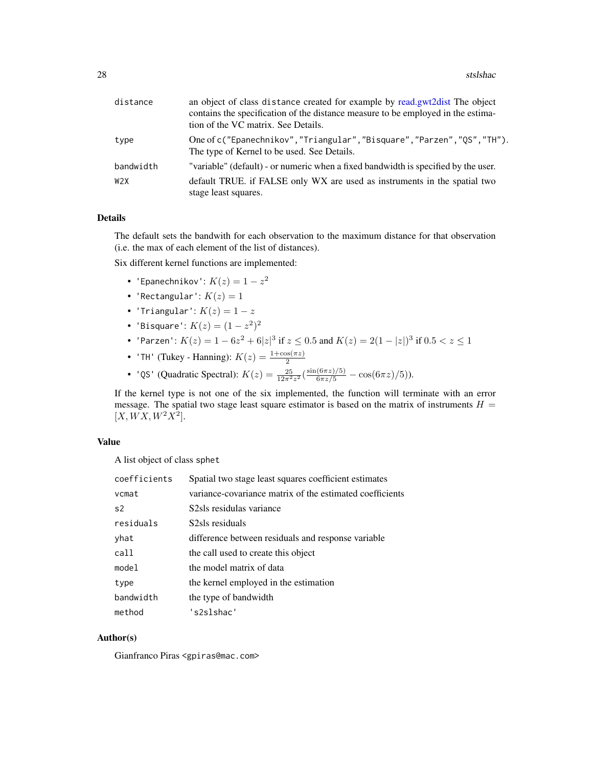<span id="page-27-0"></span>

| distance         | an object of class distance created for example by read.gwt2dist The object<br>contains the specification of the distance measure to be employed in the estima-<br>tion of the VC matrix. See Details. |
|------------------|--------------------------------------------------------------------------------------------------------------------------------------------------------------------------------------------------------|
| type             | One of c("Epanechnikov", "Triangular", "Bisquare", "Parzen", "QS", "TH").<br>The type of Kernel to be used. See Details.                                                                               |
| bandwidth        | "variable" (default) - or numeric when a fixed bandwidth is specified by the user.                                                                                                                     |
| W <sub>2</sub> X | default TRUE. if FALSE only WX are used as instruments in the spatial two<br>stage least squares.                                                                                                      |

# Details

The default sets the bandwith for each observation to the maximum distance for that observation (i.e. the max of each element of the list of distances).

Six different kernel functions are implemented:

- 'Epanechnikov':  $K(z)=1-z^2$
- 'Rectangular':  $K(z) = 1$
- 'Triangular':  $K(z) = 1 z$
- 'Bisquare':  $K(z) = (1 z^2)^2$
- 'Parzen':  $K(z) = 1 6z^2 + 6|z|^3$  if  $z \le 0.5$  and  $K(z) = 2(1 |z|)^3$  if  $0.5 < z \le 1$
- 'TH' (Tukey Hanning):  $K(z) = \frac{1+\cos(\pi z)}{2}$
- 'QS' (Quadratic Spectral):  $K(z) = \frac{25}{12\pi^2 z^2} \left( \frac{\sin(6\pi z)/5)}{6\pi z/5} \cos(6\pi z)/5 \right)$ ).

If the kernel type is not one of the six implemented, the function will terminate with an error message. The spatial two stage least square estimator is based on the matrix of instruments  $H =$  $[X,WX, W^2X^2].$ 

#### Value

A list object of class sphet

| coefficients   | Spatial two stage least squares coefficient estimates    |
|----------------|----------------------------------------------------------|
| vcmat          | variance-covariance matrix of the estimated coefficients |
| s <sub>2</sub> | S2sls residulas variance                                 |
| residuals      | S2sls residuals                                          |
| yhat           | difference between residuals and response variable       |
| call           | the call used to create this object                      |
| model          | the model matrix of data                                 |
| type           | the kernel employed in the estimation                    |
| bandwidth      | the type of bandwidth                                    |
| method         | 's2slshac'                                               |

### Author(s)

Gianfranco Piras <gpiras@mac.com>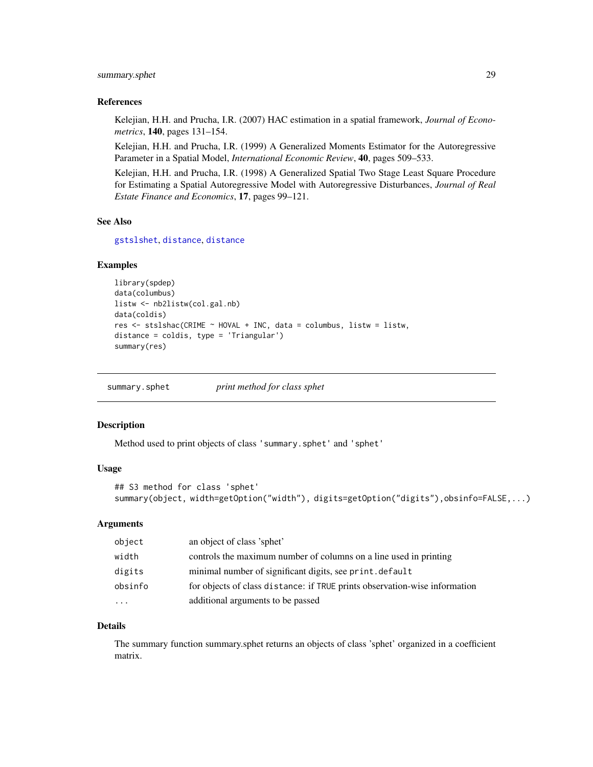# <span id="page-28-0"></span>summary.sphet 29

#### References

Kelejian, H.H. and Prucha, I.R. (2007) HAC estimation in a spatial framework, *Journal of Econometrics*, 140, pages 131–154.

Kelejian, H.H. and Prucha, I.R. (1999) A Generalized Moments Estimator for the Autoregressive Parameter in a Spatial Model, *International Economic Review*, 40, pages 509–533.

Kelejian, H.H. and Prucha, I.R. (1998) A Generalized Spatial Two Stage Least Square Procedure for Estimating a Spatial Autoregressive Model with Autoregressive Disturbances, *Journal of Real Estate Finance and Economics*, 17, pages 99–121.

#### See Also

[gstslshet](#page-5-1), [distance](#page-3-1), [distance](#page-3-1)

#### Examples

```
library(spdep)
data(columbus)
listw <- nb2listw(col.gal.nb)
data(coldis)
res <- stslshac(CRIME ~ HOVAL + INC, data = columbus, listw = listw,
distance = coldis, type = 'Triangular')
summary(res)
```
summary.sphet *print method for class sphet*

# Description

Method used to print objects of class 'summary.sphet' and 'sphet'

# Usage

```
## S3 method for class 'sphet'
summary(object, width=getOption("width"), digits=getOption("digits"),obsinfo=FALSE,...)
```
#### Arguments

| object                  | an object of class 'sphet'                                                 |
|-------------------------|----------------------------------------------------------------------------|
| width                   | controls the maximum number of columns on a line used in printing          |
| digits                  | minimal number of significant digits, see print. default                   |
| obsinfo                 | for objects of class distance: if TRUE prints observation-wise information |
| $\cdot$ $\cdot$ $\cdot$ | additional arguments to be passed                                          |

#### Details

The summary function summary.sphet returns an objects of class 'sphet' organized in a coefficient matrix.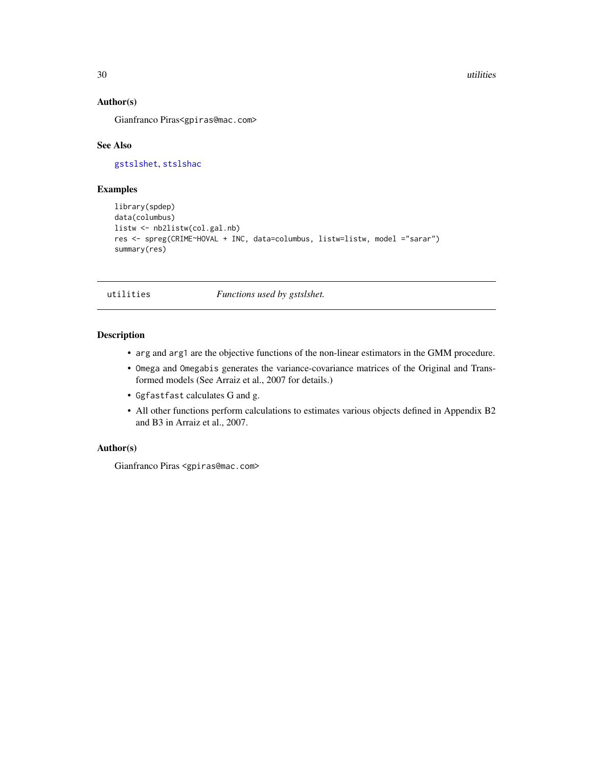#### <span id="page-29-0"></span>30 utilities

# Author(s)

Gianfranco Piras<gpiras@mac.com>

#### See Also

[gstslshet](#page-5-1), [stslshac](#page-26-1)

# Examples

```
library(spdep)
data(columbus)
listw <- nb2listw(col.gal.nb)
res <- spreg(CRIME~HOVAL + INC, data=columbus, listw=listw, model ="sarar")
summary(res)
```
utilities *Functions used by gstslshet.*

# Description

- arg and arg1 are the objective functions of the non-linear estimators in the GMM procedure.
- Omega and Omegabis generates the variance-covariance matrices of the Original and Transformed models (See Arraiz et al., 2007 for details.)
- Ggfastfast calculates G and g.
- All other functions perform calculations to estimates various objects defined in Appendix B2 and B3 in Arraiz et al., 2007.

# Author(s)

Gianfranco Piras <gpiras@mac.com>